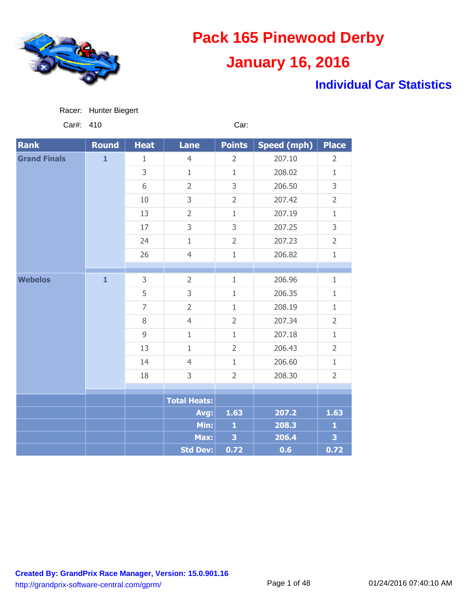

### **Individual Car Statistics**

| Racer: | <b>Hunter Biegert</b> |  |
|--------|-----------------------|--|
|        |                       |  |

Car#: 410 Car:

| <b>Rank</b>         | <b>Round</b> | <b>Heat</b>    | <b>Lane</b>         | <b>Points</b>  | <b>Speed (mph)</b> | <b>Place</b>            |
|---------------------|--------------|----------------|---------------------|----------------|--------------------|-------------------------|
| <b>Grand Finals</b> | $\mathbf{1}$ | $\mathbf{1}$   | $\overline{4}$      | $\overline{2}$ | 207.10             | $\overline{2}$          |
|                     |              | 3              | $\mathbf{1}$        | $\mathbf{1}$   | 208.02             | $\mathbf{1}$            |
|                     |              | 6              | $\overline{2}$      | 3              | 206.50             | 3                       |
|                     |              | $10\,$         | 3                   | $\overline{2}$ | 207.42             | $\overline{2}$          |
|                     |              | 13             | $\overline{2}$      | $\mathbf{1}$   | 207.19             | $\mathbf{1}$            |
|                     |              | 17             | 3                   | 3              | 207.25             | 3                       |
|                     |              | 24             | $\mathbf{1}$        | $\overline{2}$ | 207.23             | $\overline{2}$          |
|                     |              | 26             | $\overline{4}$      | $1\,$          | 206.82             | $\mathbf{1}$            |
|                     |              |                |                     |                |                    |                         |
| <b>Webelos</b>      | $\mathbf{1}$ | 3              | $\overline{2}$      | $\mathbf{1}$   | 206.96             | $\mathbf{1}$            |
|                     |              | 5              | 3                   | $1\,$          | 206.35             | $\mathbf{1}$            |
|                     |              | $\overline{7}$ | $\overline{2}$      | $\mathbf{1}$   | 208.19             | $\mathbf{1}$            |
|                     |              | $\, 8$         | $\overline{4}$      | $\overline{2}$ | 207.34             | $\overline{2}$          |
|                     |              | $\overline{9}$ | $\mathbf 1$         | $\mathbf{1}$   | 207.18             | $\mathbf{1}$            |
|                     |              | 13             | $\mathbf{1}$        | $\overline{2}$ | 206.43             | $\overline{2}$          |
|                     |              | 14             | $\overline{4}$      | $\mathbf{1}$   | 206.60             | $\mathbf{1}$            |
|                     |              | 18             | 3                   | $\overline{2}$ | 208.30             | $\overline{2}$          |
|                     |              |                |                     |                |                    |                         |
|                     |              |                | <b>Total Heats:</b> |                |                    |                         |
|                     |              |                | Avg:                | 1.63           | 207.2              | 1.63                    |
|                     |              |                | Min:                | $\mathbf{1}$   | 208.3              | $\mathbf{1}$            |
|                     |              |                | Max:                | 3              | 206.4              | $\overline{\mathbf{3}}$ |
|                     |              |                | <b>Std Dev:</b>     | 0.72           | 0.6                | 0.72                    |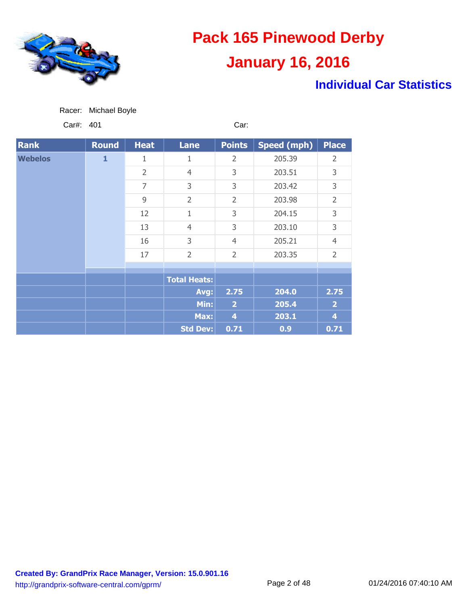

### **Individual Car Statistics**

| Racer: | Michael Boyle |  |
|--------|---------------|--|
|        |               |  |

Car#: 401 Car:

| <b>Rank</b>    | Round        | <b>Heat</b>    | <b>Lane</b>         | <b>Points</b>  | <b>Speed (mph)</b> | <b>Place</b>   |
|----------------|--------------|----------------|---------------------|----------------|--------------------|----------------|
| <b>Webelos</b> | $\mathbf{1}$ | 1              | 1                   | $\overline{2}$ | 205.39             | 2              |
|                |              | $\overline{2}$ | $\overline{4}$      | 3              | 203.51             | 3              |
|                |              | $\overline{7}$ | 3                   | 3              | 203.42             | 3              |
|                |              | 9              | 2                   | $\overline{2}$ | 203.98             | $\overline{2}$ |
|                |              | 12             | 1                   | 3              | 204.15             | 3              |
|                |              | 13             | $\overline{4}$      | 3              | 203.10             | 3              |
|                |              | 16             | 3                   | $\overline{4}$ | 205.21             | $\overline{4}$ |
|                |              | 17             | $\overline{2}$      | $\overline{2}$ | 203.35             | $\overline{2}$ |
|                |              |                |                     |                |                    |                |
|                |              |                | <b>Total Heats:</b> |                |                    |                |
|                |              |                | Avg:                | 2.75           | 204.0              | 2.75           |
|                |              |                | Min:                | $\overline{2}$ | 205.4              | $\overline{2}$ |
|                |              |                | Max:                | $\overline{4}$ | 203.1              | 4              |
|                |              |                | <b>Std Dev:</b>     | 0.71           | 0.9                | 0.71           |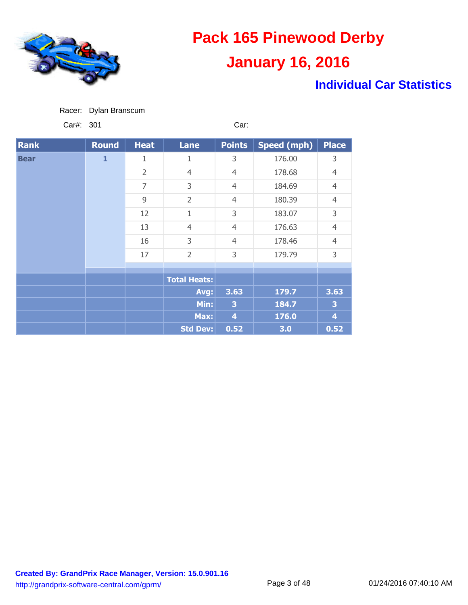

### **Individual Car Statistics**

|  | Racer: Dylan Branscum |
|--|-----------------------|
|  |                       |

Car#: 301 Car:

| <b>Rank</b> | <b>Round</b> | <b>Heat</b>    | <b>Lane</b>         | <b>Points</b>           | <b>Speed (mph)</b> | <b>Place</b>   |       |                |
|-------------|--------------|----------------|---------------------|-------------------------|--------------------|----------------|-------|----------------|
| <b>Bear</b> | $\mathbf{1}$ | 1              | 1                   | 3                       | 176.00             | 3              |       |                |
|             |              | $\overline{2}$ | $\overline{4}$      | $\overline{4}$          | 178.68             | $\overline{4}$ |       |                |
|             |              | $\overline{7}$ | 3                   | $\overline{4}$          | 184.69             | $\overline{4}$ |       |                |
|             |              | 9              | $\overline{2}$      | $\overline{4}$          | 180.39             | $\overline{4}$ |       |                |
|             |              | 12             | 1                   | 3                       | 183.07             | 3              |       |                |
|             |              | 13             | $\overline{4}$      | $\overline{4}$          | 176.63             | $\overline{4}$ |       |                |
|             |              | 16             | 3                   | $\overline{4}$          | 178.46             | $\overline{4}$ |       |                |
|             |              | 17             | $\overline{2}$      | 3                       | 179.79             | 3              |       |                |
|             |              |                |                     |                         |                    |                |       |                |
|             |              |                | <b>Total Heats:</b> |                         |                    |                |       |                |
|             |              |                | Avg:                | 3.63                    | 179.7              | 3.63           |       |                |
|             |              |                | Min:                | $\overline{\mathbf{3}}$ | 184.7              | 3              |       |                |
|             |              |                |                     |                         | Max:               | $\overline{4}$ | 176.0 | $\overline{4}$ |
|             |              |                | <b>Std Dev:</b>     | 0.52                    | 3.0                | 0.52           |       |                |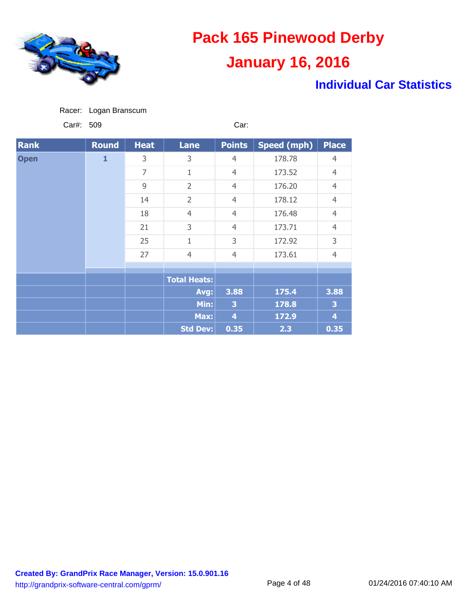

### **Individual Car Statistics**

|  | Racer: Logan Branscum |
|--|-----------------------|
|  |                       |

Car#: 509 Car:

| <b>Rank</b> | <b>Round</b> | <b>Heat</b>    | <b>Lane</b>         | <b>Points</b>  | <b>Speed (mph)</b> | <b>Place</b>   |
|-------------|--------------|----------------|---------------------|----------------|--------------------|----------------|
| <b>Open</b> | $\mathbf{1}$ | 3              | 3                   | $\overline{4}$ | 178.78             | $\overline{4}$ |
|             |              | $\overline{7}$ | 1                   | $\overline{4}$ | 173.52             | $\overline{4}$ |
|             |              | 9              | $\overline{2}$      | $\overline{4}$ | 176.20             | $\overline{4}$ |
|             |              | 14             | $\overline{2}$      | $\overline{4}$ | 178.12             | $\overline{4}$ |
|             |              | 18             | $\overline{4}$      | $\overline{4}$ | 176.48             | $\overline{4}$ |
|             |              | 21             | 3                   | $\overline{4}$ | 173.71             | $\overline{4}$ |
|             |              | 25             | $\overline{1}$      | 3              | 172.92             | 3              |
|             |              | 27             | $\overline{4}$      | $\overline{4}$ | 173.61             | $\overline{4}$ |
|             |              |                |                     |                |                    |                |
|             |              |                | <b>Total Heats:</b> |                |                    |                |
|             |              |                | Avg:                | 3.88           | 175.4              | 3.88           |
|             |              |                | Min:                | 3              | 178.8              | 3              |
|             |              |                | Max:                | $\overline{4}$ | 172.9              | $\overline{4}$ |
|             |              |                | <b>Std Dev:</b>     | 0.35           | 2.3                | 0.35           |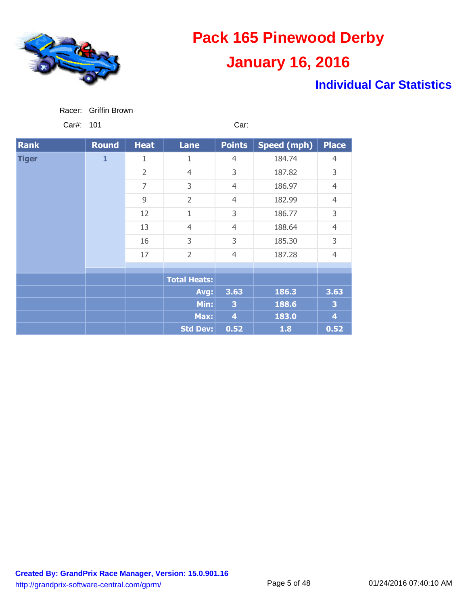

### **Individual Car Statistics**

| Racer: | Griffin Brown |
|--------|---------------|
|        |               |

Car#: 101 Car: Car:

| <b>Rank</b>  | <b>Round</b> | <b>Heat</b>    | <b>Lane</b>         | <b>Points</b>  | <b>Speed (mph)</b> | <b>Place</b>   |
|--------------|--------------|----------------|---------------------|----------------|--------------------|----------------|
| <b>Tiger</b> | $\mathbf{1}$ | 1              | 1                   | $\overline{4}$ | 184.74             | $\overline{4}$ |
|              |              | $\overline{2}$ | $\overline{4}$      | 3              | 187.82             | 3              |
|              |              | $\overline{7}$ | 3                   | $\overline{4}$ | 186.97             | $\overline{4}$ |
|              |              | 9              | $\overline{2}$      | $\overline{4}$ | 182.99             | $\overline{4}$ |
|              |              | 12             | 1                   | 3              | 186.77             | 3              |
|              |              | 13             | $\overline{4}$      | $\overline{4}$ | 188.64             | $\overline{4}$ |
|              |              | 16             | 3                   | 3              | 185.30             | 3              |
|              |              | 17             | $\overline{2}$      | $\overline{4}$ | 187.28             | $\overline{4}$ |
|              |              |                |                     |                |                    |                |
|              |              |                | <b>Total Heats:</b> |                |                    |                |
|              |              |                | Avg:                | 3.63           | 186.3              | 3.63           |
|              |              |                | Min:                | 3              | 188.6              | 3              |
|              |              |                | Max:                | 4              | 183.0              | 4              |
|              |              |                | <b>Std Dev:</b>     | 0.52           | 1.8                | 0.52           |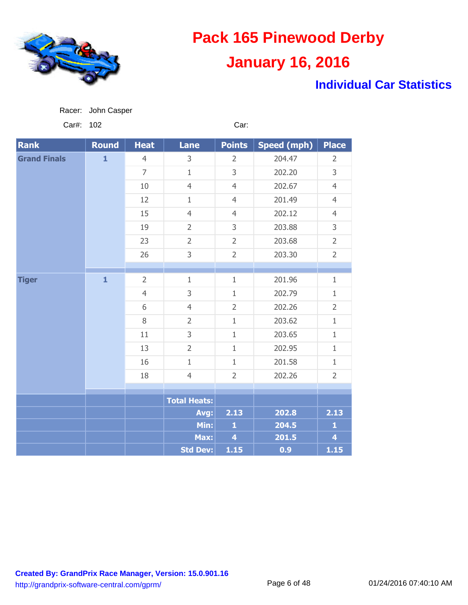

### **Individual Car Statistics**

| Car#:               | 102          |                |                     | Car:                    |                    |                         |
|---------------------|--------------|----------------|---------------------|-------------------------|--------------------|-------------------------|
| <b>Rank</b>         | <b>Round</b> | <b>Heat</b>    | Lane                | <b>Points</b>           | <b>Speed (mph)</b> | <b>Place</b>            |
| <b>Grand Finals</b> | $\mathbf{1}$ | $\overline{4}$ | 3                   | $\overline{2}$          | 204.47             | $\overline{2}$          |
|                     |              | $\overline{7}$ | $\mathbf 1$         | 3                       | 202.20             | 3                       |
|                     |              | 10             | $\overline{4}$      | $\overline{4}$          | 202.67             | $\overline{4}$          |
|                     |              | 12             | $\mathbf{1}$        | $\overline{4}$          | 201.49             | $\overline{4}$          |
|                     |              | 15             | $\overline{4}$      | $\overline{4}$          | 202.12             | $\overline{4}$          |
|                     |              | 19             | $\overline{2}$      | 3                       | 203.88             | 3                       |
|                     |              | 23             | $\overline{2}$      | $\overline{2}$          | 203.68             | $\overline{2}$          |
|                     |              | 26             | 3                   | $\overline{2}$          | 203.30             | $\overline{2}$          |
|                     |              |                |                     |                         |                    |                         |
| <b>Tiger</b>        | $\mathbf{1}$ | $\overline{2}$ | $\,1\,$             | $1\,$                   | 201.96             | $1\,$                   |
|                     |              | $\overline{4}$ | 3                   | $\mathbf{1}$            | 202.79             | $\mathbf{1}$            |
|                     |              | 6              | $\overline{4}$      | $\overline{2}$          | 202.26             | $\overline{2}$          |
|                     |              | 8              | $\overline{2}$      | $\mathbf{1}$            | 203.62             | $\mathbf{1}$            |
|                     |              | 11             | 3                   | $1\,$                   | 203.65             | $\mathbf{1}$            |
|                     |              | 13             | $\overline{2}$      | $\mathbf{1}$            | 202.95             | $1\,$                   |
|                     |              | 16             | $\mathbf{1}$        | $1\,$                   | 201.58             | $\mathbf{1}$            |
|                     |              | 18             | $\overline{4}$      | $\overline{2}$          | 202.26             | $\overline{2}$          |
|                     |              |                |                     |                         |                    |                         |
|                     |              |                | <b>Total Heats:</b> |                         |                    |                         |
|                     |              |                | Avg:                | 2.13                    | 202.8              | 2.13                    |
|                     |              |                | Min:                | $\mathbf{1}$            | 204.5              | $\mathbf{1}$            |
|                     |              |                | Max:                | $\overline{\mathbf{4}}$ | 201.5              | $\overline{\mathbf{4}}$ |
|                     |              |                | <b>Std Dev:</b>     | 1.15                    | 0.9                | 1.15                    |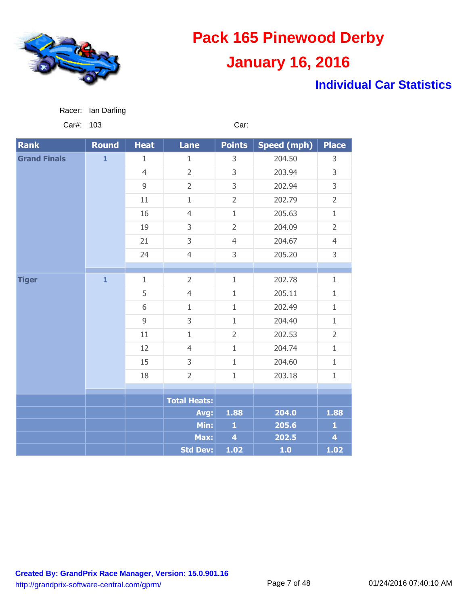

### **Individual Car Statistics**

| .                   |              |                |                     |                         |                    |                         |
|---------------------|--------------|----------------|---------------------|-------------------------|--------------------|-------------------------|
| <b>Rank</b>         | <b>Round</b> | <b>Heat</b>    | <b>Lane</b>         | <b>Points</b>           | <b>Speed (mph)</b> | <b>Place</b>            |
| <b>Grand Finals</b> | $\mathbf{1}$ | 1              | $\mathbf{1}$        | 3                       | 204.50             | 3                       |
|                     |              | $\overline{4}$ | $\overline{2}$      | 3                       | 203.94             | 3                       |
|                     |              | $\overline{9}$ | $\overline{2}$      | 3                       | 202.94             | 3                       |
|                     |              | 11             | $\,1\,$             | $\overline{2}$          | 202.79             | $\overline{2}$          |
|                     |              | 16             | $\overline{4}$      | $\mathbf{1}$            | 205.63             | $\mathbf{1}$            |
|                     |              | 19             | 3                   | $\overline{2}$          | 204.09             | $\overline{2}$          |
|                     |              | 21             | 3                   | $\overline{4}$          | 204.67             | $\overline{4}$          |
|                     |              | 24             | $\overline{4}$      | 3                       | 205.20             | 3                       |
|                     |              |                |                     |                         |                    |                         |
| <b>Tiger</b>        | $\mathbf{1}$ | $\mathbf 1$    | $\overline{2}$      | $1\,$                   | 202.78             | $\mathbf{1}$            |
|                     |              | 5              | $\overline{4}$      | $\mathbf 1$             | 205.11             | $\mathbf{1}$            |
|                     |              | 6              | $\mathbf{1}$        | $\mathbf{1}$            | 202.49             | $1\,$                   |
|                     |              | $\overline{9}$ | 3                   | $\mathbf{1}$            | 204.40             | $\mathbf{1}$            |
|                     |              | 11             | $\mathbf{1}$        | $\overline{2}$          | 202.53             | $\overline{2}$          |
|                     |              | 12             | $\overline{4}$      | $1\,$                   | 204.74             | $\mathbf{1}$            |
|                     |              | 15             | 3                   | $\mathbf{1}$            | 204.60             | $\mathbf{1}$            |
|                     |              | 18             | $\overline{2}$      | $\mathbf{1}$            | 203.18             | $\mathbf{1}$            |
|                     |              |                |                     |                         |                    |                         |
|                     |              |                | <b>Total Heats:</b> |                         |                    |                         |
|                     |              |                | Avg:                | 1.88                    | 204.0              | 1.88                    |
|                     |              |                | Min:                | $\mathbf{1}$            | 205.6              | $\mathbf{1}$            |
|                     |              |                | Max:                | $\overline{\mathbf{4}}$ | 202.5              | $\overline{\mathbf{4}}$ |
|                     |              |                | <b>Std Dev:</b>     | 1.02                    | 1.0                | 1.02                    |

Car#: 103 Car:

**Created By: GrandPrix Race Manager, Version: 15.0.901.16** http://grandprix-software-central.com/gprm/ Page 7 of 48 01/24/2016 07:40:10 AM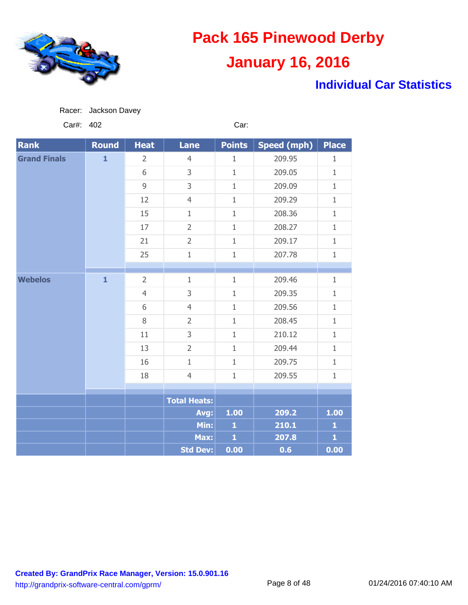

Racer: Jackson Davey

## **Pack 165 Pinewood Derby January 16, 2016**

### **Individual Car Statistics**

| Car#:               | 402          |                |                     | Car:          |                    |                         |
|---------------------|--------------|----------------|---------------------|---------------|--------------------|-------------------------|
| <b>Rank</b>         | <b>Round</b> | <b>Heat</b>    | <b>Lane</b>         | <b>Points</b> | <b>Speed (mph)</b> | <b>Place</b>            |
| <b>Grand Finals</b> | $\mathbf{1}$ | $\overline{2}$ | $\overline{4}$      | $\mathbf 1$   | 209.95             | $\mathbf{1}$            |
|                     |              | 6              | 3                   | $\mathbf 1$   | 209.05             | $\mathbf{1}$            |
|                     |              | 9              | 3                   | $\mathbf{1}$  | 209.09             | $\mathbf{1}$            |
|                     |              | 12             | $\overline{4}$      | $\mathbf{1}$  | 209.29             | $\mathbf{1}$            |
|                     |              | 15             | $\mathbf{1}$        | $\mathbf 1$   | 208.36             | $\mathbf{1}$            |
|                     |              | 17             | $\overline{2}$      | $\mathbf 1$   | 208.27             | $1\,$                   |
|                     |              | 21             | $\overline{2}$      | $\mathbf{1}$  | 209.17             | $\mathbf{1}$            |
|                     |              | 25             | $\mathbf 1$         | $\mathbf 1$   | 207.78             | $\mathbf{1}$            |
|                     |              |                |                     |               |                    |                         |
| <b>Webelos</b>      | $\mathbf{1}$ | $\overline{2}$ | $1\,$               | $\mathbf{1}$  | 209.46             | $1\,$                   |
|                     |              | $\overline{4}$ | 3                   | $\mathbf 1$   | 209.35             | $\mathbf{1}$            |
|                     |              | 6              | $\overline{4}$      | $\mathbf{1}$  | 209.56             | $\mathbf{1}$            |
|                     |              | $8\,$          | $\overline{2}$      | $\mathbf{1}$  | 208.45             | $\mathbf{1}$            |
|                     |              | 11             | 3                   | $\mathbf 1$   | 210.12             | $\mathbf{1}$            |
|                     |              | 13             | $\overline{2}$      | $\mathbf 1$   | 209.44             | $\mathbf{1}$            |
|                     |              | 16             | $1\,$               | $\mathbf 1$   | 209.75             | $\mathbf{1}$            |
|                     |              | 18             | $\overline{4}$      | $\mathbf{1}$  | 209.55             | $\mathbf{1}$            |
|                     |              |                |                     |               |                    |                         |
|                     |              |                | <b>Total Heats:</b> |               |                    |                         |
|                     |              |                | Avg:                | 1.00          | 209.2              | 1.00                    |
|                     |              |                | Min:                | $\mathbf{1}$  | 210.1              | $\mathbf{1}$            |
|                     |              |                | Max:                | $\mathbf{1}$  | 207.8              | $\overline{\mathbf{1}}$ |
|                     |              |                | <b>Std Dev:</b>     | 0.00          | 0.6                | 0.00                    |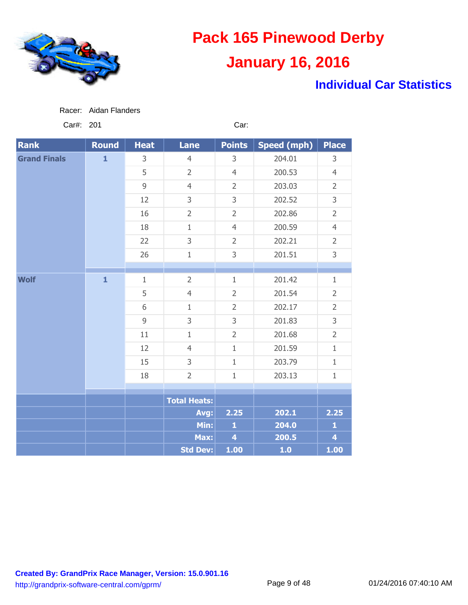

### **Individual Car Statistics**

Car#: 201 Car:

| <b>Rank</b>         | <b>Round</b> | <b>Heat</b>    | <b>Lane</b>         | <b>Points</b>           | <b>Speed (mph)</b> | <b>Place</b>            |
|---------------------|--------------|----------------|---------------------|-------------------------|--------------------|-------------------------|
| <b>Grand Finals</b> | $\mathbf{1}$ | 3              | $\overline{4}$      | 3                       | 204.01             | 3                       |
|                     |              | 5              | $\overline{2}$      | $\overline{4}$          | 200.53             | $\overline{4}$          |
|                     |              | $\overline{9}$ | $\overline{4}$      | $\overline{2}$          | 203.03             | $\overline{2}$          |
|                     |              | 12             | 3                   | 3                       | 202.52             | 3                       |
|                     |              | 16             | $\overline{2}$      | $\overline{2}$          | 202.86             | $\overline{2}$          |
|                     |              | 18             | $\mathbf{1}$        | $\overline{4}$          | 200.59             | $\overline{4}$          |
|                     |              | 22             | 3                   | $\overline{2}$          | 202.21             | $\overline{2}$          |
|                     |              | 26             | $\mathbf 1$         | 3                       | 201.51             | 3                       |
|                     |              |                |                     |                         |                    |                         |
| <b>Wolf</b>         | $\mathbf{1}$ | $\mathbf{1}$   | $\overline{2}$      | $1\,$                   | 201.42             | $\mathbf{1}$            |
|                     |              | 5              | $\overline{4}$      | $\overline{2}$          | 201.54             | $\overline{2}$          |
|                     |              | 6              | $\mathbf{1}$        | $\overline{2}$          | 202.17             | $\overline{2}$          |
|                     |              | 9              | 3                   | 3                       | 201.83             | 3                       |
|                     |              | 11             | $1\,$               | $\overline{2}$          | 201.68             | $\overline{2}$          |
|                     | 12           | $\overline{4}$ | $1\,$               | 201.59                  | $\mathbf{1}$       |                         |
|                     |              | 15             | 3                   | $1\,$                   | 203.79             | $1\,$                   |
|                     |              | 18             | $\overline{2}$      | $1\,$                   | 203.13             | $\mathbf 1$             |
|                     |              |                |                     |                         |                    |                         |
|                     |              |                | <b>Total Heats:</b> |                         |                    |                         |
|                     |              |                | Avg:                | 2.25                    | 202.1              | 2.25                    |
|                     |              |                | Min:                | $\mathbf{1}$            | 204.0              | $\mathbf{1}$            |
|                     |              |                | Max:                | $\overline{\mathbf{4}}$ | 200.5              | $\overline{\mathbf{4}}$ |
|                     |              |                | Std Dev:            | 1.00                    | 1.0                | 1.00                    |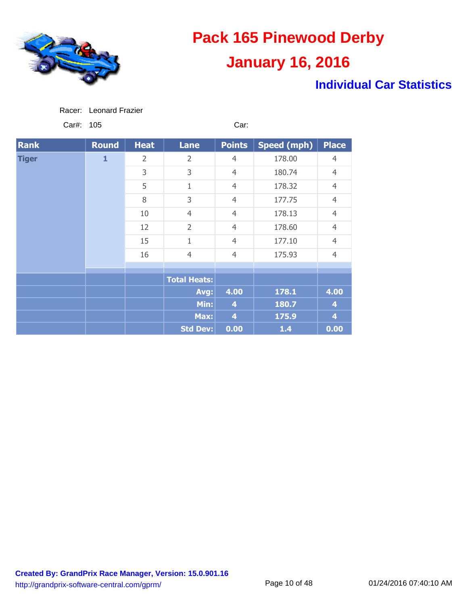

### **Individual Car Statistics**

Car#: 105 Car:

| <b>Rank</b>  | Round        | <b>Heat</b>    | <b>Lane</b>         | <b>Points</b>      | Speed (mph)    | <b>Place</b>            |                |
|--------------|--------------|----------------|---------------------|--------------------|----------------|-------------------------|----------------|
| <b>Tiger</b> | $\mathbf{1}$ | $\overline{2}$ | $\overline{2}$      | $\overline{4}$     | 178.00         | $\overline{4}$          |                |
|              |              | 3              | 3                   | $\overline{4}$     | 180.74         | $\overline{4}$          |                |
|              |              | 5              | $1\,$               | $\overline{4}$     | 178.32         | $\overline{4}$          |                |
|              |              | 8              | 3                   | $\overline{4}$     | 177.75         | $\overline{4}$          |                |
|              |              | 10             | $\overline{4}$      | $\overline{4}$     | 178.13         | $\overline{4}$          |                |
|              |              | 12             | $\overline{2}$      | $\overline{4}$     | 178.60         | $\overline{4}$          |                |
|              |              |                | 15                  | $\mathbf 1$        | $\overline{4}$ | 177.10                  | $\overline{4}$ |
|              |              |                | 16                  | $\overline{4}$     | $\overline{4}$ | 175.93                  | $\overline{4}$ |
|              |              |                |                     |                    |                |                         |                |
|              |              |                | <b>Total Heats:</b> |                    |                |                         |                |
|              |              |                | Avg:                | 4.00               | 178.1          | 4.00                    |                |
|              |              |                | Min:                | 4                  | 180.7          | 4                       |                |
|              |              |                | Max:                | $\overline{\bf 4}$ | 175.9          | $\overline{\mathbf{4}}$ |                |
|              |              |                | <b>Std Dev:</b>     | 0.00               | $1.4$          | 0.00                    |                |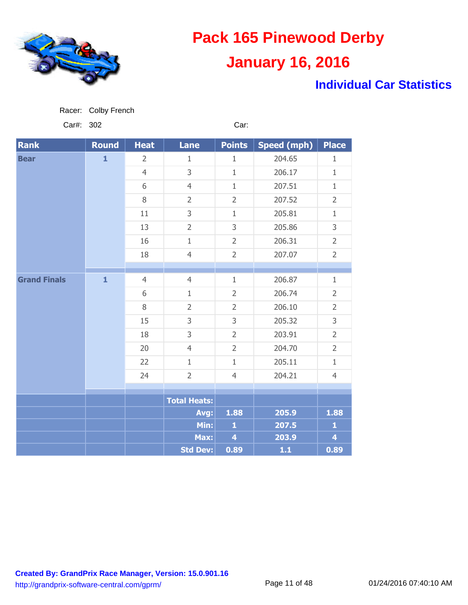

### **Individual Car Statistics**

Car#: 302 Car:

| <b>Rank</b>         | <b>Round</b> | <b>Heat</b>    | <b>Lane</b>         | <b>Points</b>           | <b>Speed (mph)</b> | <b>Place</b>   |
|---------------------|--------------|----------------|---------------------|-------------------------|--------------------|----------------|
| <b>Bear</b>         | $\mathbf{1}$ | $\overline{2}$ | $\mathbf{1}$        | $\mathbf{1}$            | 204.65             | $\mathbf{1}$   |
|                     |              | $\overline{4}$ | 3                   | $1\,$                   | 206.17             | $1\,$          |
|                     |              | 6              | $\overline{4}$      | $\mathbf{1}$            | 207.51             | $\mathbf{1}$   |
|                     |              | 8              | $\overline{2}$      | $\overline{2}$          | 207.52             | $\overline{2}$ |
|                     |              | 11             | 3                   | $\mathbf{1}$            | 205.81             | $\mathbf{1}$   |
|                     |              | 13             | $\overline{2}$      | 3                       | 205.86             | 3              |
|                     |              | 16             | $\mathbf{1}$        | $\overline{2}$          | 206.31             | $\overline{2}$ |
|                     |              | 18             | $\overline{4}$      | $\overline{2}$          | 207.07             | $\overline{2}$ |
|                     |              |                |                     |                         |                    |                |
| <b>Grand Finals</b> | $\mathbf{1}$ | $\overline{4}$ | $\overline{4}$      | $\mathbf{1}$            | 206.87             | $\mathbf{1}$   |
|                     |              | 6              | $\mathbf{1}$        | $\overline{2}$          | 206.74             | $\overline{2}$ |
|                     |              | 8              | $\overline{2}$      | $\overline{2}$          | 206.10             | $\overline{2}$ |
|                     |              | 15             | 3                   | 3                       | 205.32             | 3              |
|                     |              | 18             | 3                   | $\overline{2}$          | 203.91             | $\overline{2}$ |
|                     |              | 20             | $\overline{4}$      | $\overline{2}$          | 204.70             | $\overline{2}$ |
|                     |              | 22             | $\mathbf{1}$        | $1\,$                   | 205.11             | $\mathbf{1}$   |
|                     |              | 24             | $\overline{2}$      | $\overline{4}$          | 204.21             | $\overline{4}$ |
|                     |              |                |                     |                         |                    |                |
|                     |              |                | <b>Total Heats:</b> |                         |                    |                |
|                     |              |                | Avg:                | 1.88                    | 205.9              | 1.88           |
|                     |              |                | Min:                | $\mathbf{1}$            | 207.5              | $\mathbf{1}$   |
|                     |              |                | Max:                | $\overline{\mathbf{4}}$ | 203.9              | $\overline{4}$ |
|                     |              |                | <b>Std Dev:</b>     | 0.89                    | $1.1$              | 0.89           |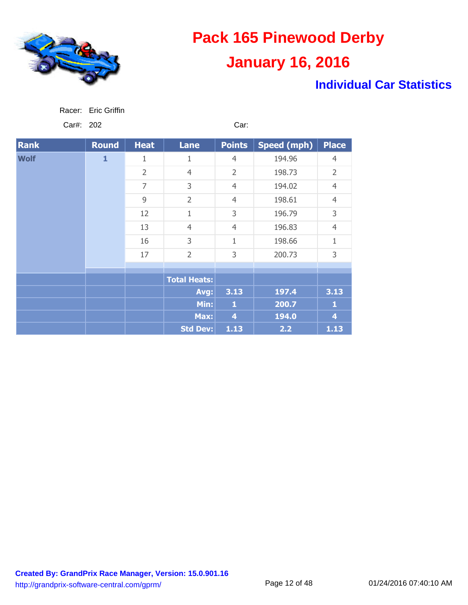

Racer: Eric Griffin

# **Pack 165 Pinewood Derby January 16, 2016**

### **Individual Car Statistics**

| Car#: 202   |              |                |                     | Car:           |                    |                |
|-------------|--------------|----------------|---------------------|----------------|--------------------|----------------|
| <b>Rank</b> | <b>Round</b> | <b>Heat</b>    | <b>Lane</b>         | <b>Points</b>  | <b>Speed (mph)</b> | <b>Place</b>   |
| <b>Wolf</b> | $\mathbf{1}$ | 1              | $\mathbf{1}$        | $\overline{4}$ | 194.96             | $\overline{4}$ |
|             |              | $\overline{2}$ | $\overline{4}$      | $\overline{2}$ | 198.73             | $\overline{2}$ |
|             |              | $\overline{7}$ | 3                   | $\overline{4}$ | 194.02             | $\overline{4}$ |
|             |              | 9              | $\overline{2}$      | $\overline{4}$ | 198.61             | $\overline{4}$ |
|             |              | 12             | $\mathbf 1$         | 3              | 196.79             | 3              |
|             |              | 13             | $\overline{4}$      | $\overline{4}$ | 196.83             | $\overline{4}$ |
|             |              | 16             | 3                   | 1              | 198.66             | $\mathbf{1}$   |
|             |              | 17             | $\overline{2}$      | 3              | 200.73             | 3              |
|             |              |                |                     |                |                    |                |
|             |              |                | <b>Total Heats:</b> |                |                    |                |
|             |              |                | Avg:                | 3.13           | 197.4              | 3.13           |
|             |              |                | Min:                | $\mathbf{1}$   | 200.7              | $\mathbf{1}$   |
|             |              |                | Max:                | $\overline{4}$ | 194.0              | 4              |
|             |              |                | Std Dev:            | 1.13           | 2.2                | 1.13           |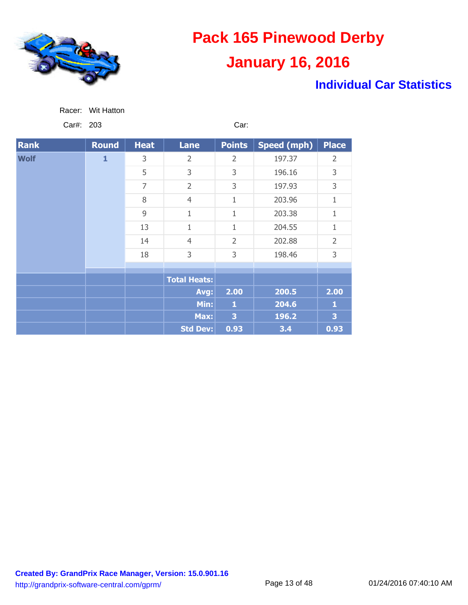

### **Individual Car Statistics**

| Wit Hatton<br>Racer: |
|----------------------|
|----------------------|

Car#: 203 Car:

| <b>Rank</b> | <b>Round</b> | <b>Heat</b>    | <b>Lane</b>         | <b>Points</b>  | Speed (mph) | <b>Place</b>   |
|-------------|--------------|----------------|---------------------|----------------|-------------|----------------|
| <b>Wolf</b> | $\mathbf{1}$ | 3              | $\overline{2}$      | $\overline{2}$ | 197.37      | 2              |
|             |              | 5              | 3                   | 3              | 196.16      | 3              |
|             |              | $\overline{7}$ | $\overline{2}$      | 3              | 197.93      | 3              |
|             |              | 8              | $\overline{4}$      | $\mathbf{1}$   | 203.96      | 1              |
|             |              | 9              | 1                   | 1              | 203.38      | 1              |
|             |              | 13             | 1                   | $\mathbf 1$    | 204.55      | 1              |
|             |              | 14             | $\overline{4}$      | $\overline{2}$ | 202.88      | $\overline{2}$ |
|             |              | 18             | 3                   | 3              | 198.46      | 3              |
|             |              |                |                     |                |             |                |
|             |              |                | <b>Total Heats:</b> |                |             |                |
|             |              |                | Avg:                | 2.00           | 200.5       | 2.00           |
|             |              |                | Min:                | 1              | 204.6       | 1              |
|             |              |                | Max:                | 3              | 196.2       | 3              |
|             |              |                | <b>Std Dev:</b>     | 0.93           | 3.4         | 0.93           |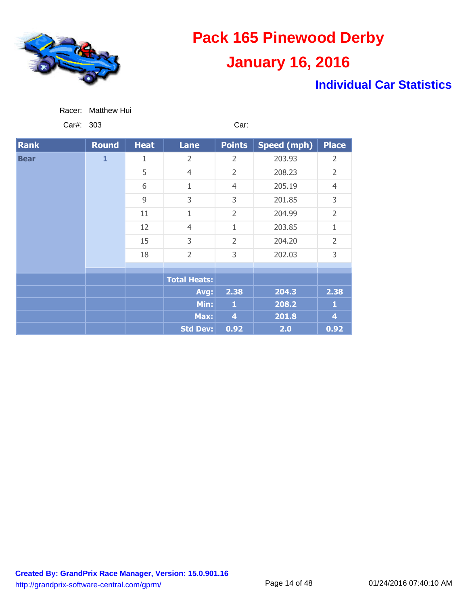

### **Individual Car Statistics**

|  | Racer: | Matthew Hui |  |
|--|--------|-------------|--|
|--|--------|-------------|--|

Car#: 303 Car:

| <b>Rank</b> | <b>Round</b> | <b>Heat</b> | <b>Lane</b>         | <b>Points</b>  | Speed (mph)    | <b>Place</b>   |                |
|-------------|--------------|-------------|---------------------|----------------|----------------|----------------|----------------|
| <b>Bear</b> | $\mathbf{1}$ | 1           | 2                   | 2              | 203.93         | 2              |                |
|             |              | 5           | $\overline{4}$      | $\overline{2}$ | 208.23         | $\overline{2}$ |                |
|             |              | 6           | 1                   | $\overline{4}$ | 205.19         | $\overline{4}$ |                |
|             |              | 9           | 3                   | 3              | 201.85         | 3              |                |
|             |              | 11          | 1                   | $\overline{2}$ | 204.99         | $\overline{2}$ |                |
|             |              |             | 12                  | $\overline{4}$ | 1              | 203.85         | 1              |
|             |              |             | 15                  | 3              | $\overline{2}$ | 204.20         | $\overline{2}$ |
|             |              |             |                     | 18             | $\overline{2}$ | 3              | 202.03         |
|             |              |             |                     |                |                |                |                |
|             |              |             | <b>Total Heats:</b> |                |                |                |                |
|             |              |             | Avg:                | 2.38           | 204.3          | 2.38           |                |
|             |              |             | Min:                | $\mathbf{1}$   | 208.2          | 1              |                |
|             |              |             | Max:                | 4              | 201.8          | 4              |                |
|             |              |             | <b>Std Dev:</b>     | 0.92           | 2.0            | 0.92           |                |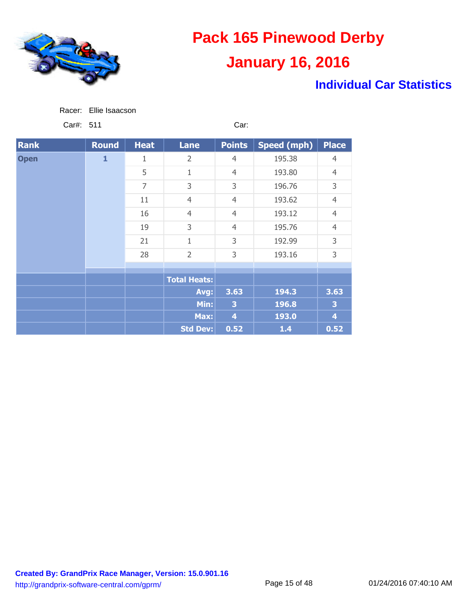

### **Individual Car Statistics**

Car#: 511 Car:

| <b>Rank</b> | Round        | <b>Heat</b>    | <b>Lane</b>         | <b>Points</b>  | <b>Speed (mph)</b> | <b>Place</b>   |
|-------------|--------------|----------------|---------------------|----------------|--------------------|----------------|
| <b>Open</b> | $\mathbf{1}$ | 1              | $\overline{2}$      | $\overline{4}$ | 195.38             | $\overline{4}$ |
|             |              | 5              | $\overline{1}$      | $\overline{4}$ | 193.80             | $\overline{4}$ |
|             |              | $\overline{7}$ | 3                   | 3              | 196.76             | 3              |
|             |              | 11             | $\overline{4}$      | $\overline{4}$ | 193.62             | $\overline{4}$ |
|             |              | 16             | $\overline{4}$      | $\overline{4}$ | 193.12             | $\overline{4}$ |
|             |              | 19             | 3                   | $\overline{4}$ | 195.76             | $\overline{4}$ |
|             |              | 21             | $\overline{1}$      | 3              | 192.99             | 3              |
|             |              | 28             | $\overline{2}$      | 3              | 193.16             | 3              |
|             |              |                |                     |                |                    |                |
|             |              |                | <b>Total Heats:</b> |                |                    |                |
|             |              |                | Avg:                | 3.63           | 194.3              | 3.63           |
|             |              |                | Min:                | 3              | 196.8              | 3              |
|             |              |                | Max:                | 4              | 193.0              | 4              |
|             |              |                | <b>Std Dev:</b>     | 0.52           | $1.4$              | 0.52           |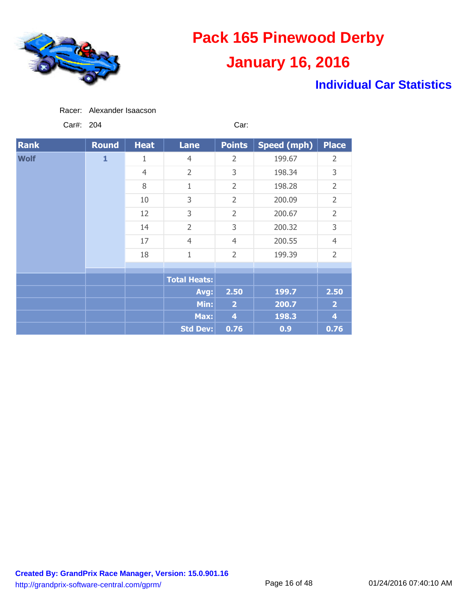

### **Individual Car Statistics**

| Racer: Alexander Isaacson |  |
|---------------------------|--|
|                           |  |

Car#: 204 Car:

| <b>Rank</b> | <b>Round</b> | <b>Heat</b>    | <b>Lane</b>         | <b>Points</b>  | <b>Speed (mph)</b> | <b>Place</b>   |                |
|-------------|--------------|----------------|---------------------|----------------|--------------------|----------------|----------------|
| <b>Wolf</b> | $\mathbf{1}$ | 1              | $\overline{4}$      | $\overline{2}$ | 199.67             | $\overline{2}$ |                |
|             |              | $\overline{4}$ | $\overline{2}$      | 3              | 198.34             | 3              |                |
|             |              | 8              | 1                   | $\overline{2}$ | 198.28             | $\overline{2}$ |                |
|             |              | 10             | 3                   | $\overline{2}$ | 200.09             | $\overline{2}$ |                |
|             |              |                | 12                  | 3              | $\overline{2}$     | 200.67         | $\overline{2}$ |
|             |              | 14             | $\overline{2}$      | 3              | 200.32             | 3              |                |
|             |              | 17             | $\overline{4}$      | $\overline{4}$ | 200.55             | $\overline{4}$ |                |
|             |              | 18             | $\mathbf 1$         | $\overline{2}$ | 199.39             | $\overline{2}$ |                |
|             |              |                |                     |                |                    |                |                |
|             |              |                | <b>Total Heats:</b> |                |                    |                |                |
|             |              |                | Avg:                | 2.50           | 199.7              | 2.50           |                |
|             |              |                | Min:                | $\overline{2}$ | 200.7              | $\overline{2}$ |                |
|             |              |                | Max:                | $\overline{4}$ | 198.3              | 4              |                |
|             |              |                | <b>Std Dev:</b>     | 0.76           | 0.9                | 0.76           |                |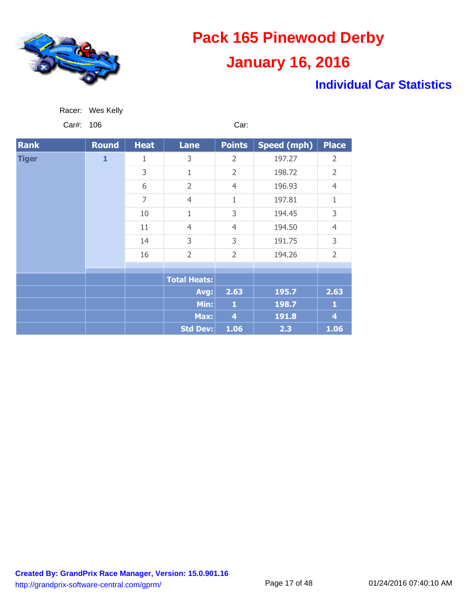

### **Individual Car Statistics**

Car#: 106 Car:

| <b>Rank</b>  | Round        | <b>Heat</b>    | <b>Lane</b>         | <b>Points</b>           | Speed (mph) | <b>Place</b>   |
|--------------|--------------|----------------|---------------------|-------------------------|-------------|----------------|
| <b>Tiger</b> | $\mathbf{1}$ | 1              | 3                   | $\overline{2}$          | 197.27      | $\overline{2}$ |
|              |              | 3              | 1                   | $\overline{2}$          | 198.72      | $\overline{2}$ |
|              |              | 6              | $\overline{2}$      | $\overline{4}$          | 196.93      | $\overline{4}$ |
|              |              | $\overline{7}$ | $\overline{4}$      | $\mathbf{1}$            | 197.81      | 1              |
|              |              | 10             | $\mathbf{1}$        | 3                       | 194.45      | 3              |
|              |              | 11             | $\overline{4}$      | $\overline{4}$          | 194.50      | $\overline{4}$ |
|              |              | 14             | 3                   | 3                       | 191.75      | 3              |
|              |              | 16             | $\overline{2}$      | $\overline{2}$          | 194.26      | $\overline{2}$ |
|              |              |                |                     |                         |             |                |
|              |              |                | <b>Total Heats:</b> |                         |             |                |
|              |              |                | Avg:                | 2.63                    | 195.7       | 2.63           |
|              |              |                | Min:                | $\mathbf{1}$            | 198.7       | 1              |
|              |              |                | Max:                | $\overline{\mathbf{4}}$ | 191.8       | 4              |
|              |              |                | <b>Std Dev:</b>     | 1.06                    | 2.3         | 1.06           |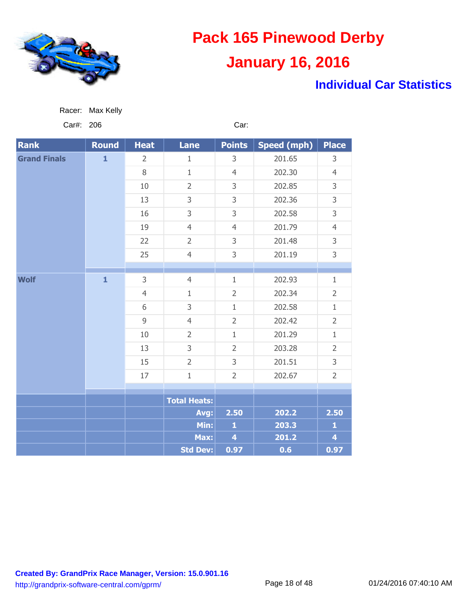

### **Individual Car Statistics**

| $U$ ui $\pi$ . 200  |              |                |                     | vai.                    |                    |                         |
|---------------------|--------------|----------------|---------------------|-------------------------|--------------------|-------------------------|
| <b>Rank</b>         | Round        | <b>Heat</b>    | <b>Lane</b>         | <b>Points</b>           | <b>Speed (mph)</b> | Place                   |
| <b>Grand Finals</b> | $\mathbf{1}$ | 2              | 1                   | 3                       | 201.65             | 3                       |
|                     |              | $\, 8$         | $1\,$               | $\overline{4}$          | 202.30             | $\overline{4}$          |
|                     |              | 10             | $\overline{2}$      | 3                       | 202.85             | 3                       |
|                     |              | 13             | 3                   | 3                       | 202.36             | 3                       |
|                     |              | 16             | 3                   | 3                       | 202.58             | 3                       |
|                     |              | 19             | $\overline{4}$      | $\overline{4}$          | 201.79             | $\overline{4}$          |
|                     |              | 22             | $\overline{2}$      | 3                       | 201.48             | 3                       |
|                     |              | 25             | $\overline{4}$      | 3                       | 201.19             | 3                       |
|                     |              |                |                     |                         |                    |                         |
| <b>Wolf</b>         | $\mathbf{1}$ | 3              | $\overline{4}$      | $\mathbf{1}$            | 202.93             | $\mathbf{1}$            |
|                     |              | $\overline{4}$ | $1\,$               | $\overline{2}$          | 202.34             | $\overline{2}$          |
|                     |              | 6              | 3                   | $\mathbf{1}$            | 202.58             | $\mathbf 1$             |
|                     |              | $\overline{9}$ | $\overline{4}$      | $\overline{2}$          | 202.42             | $\overline{2}$          |
|                     |              | 10             | $\overline{2}$      | $\mathbf{1}$            | 201.29             | $1\,$                   |
|                     |              | 13             | 3                   | $\overline{2}$          | 203.28             | $\overline{2}$          |
|                     |              | 15             | $\overline{2}$      | 3                       | 201.51             | 3                       |
|                     |              | 17             | $\mathbf{1}$        | $\overline{2}$          | 202.67             | $\overline{2}$          |
|                     |              |                |                     |                         |                    |                         |
|                     |              |                | <b>Total Heats:</b> |                         |                    |                         |
|                     |              |                | Avg:                | 2.50                    | 202.2              | 2.50                    |
|                     |              |                | Min:                | $\mathbf{1}$            | 203.3              | $\mathbf{1}$            |
|                     |              |                | Max:                | $\overline{\mathbf{4}}$ | 201.2              | $\overline{\mathbf{4}}$ |
|                     |              |                | <b>Std Dev:</b>     | 0.97                    | 0.6                | 0.97                    |

Car#: 206 Car:

Racer: Max Kelly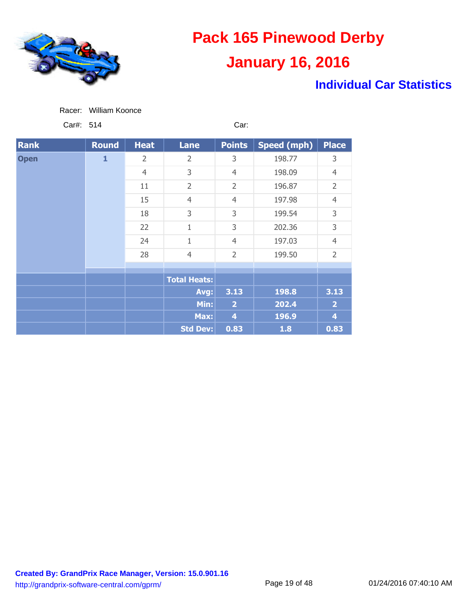

### **Individual Car Statistics**

Car#: 514 Car:

| <b>Rank</b> | Round        | <b>Heat</b>    | <b>Lane</b>         | <b>Points</b>  | <b>Speed (mph)</b> | <b>Place</b>   |
|-------------|--------------|----------------|---------------------|----------------|--------------------|----------------|
| <b>Open</b> | $\mathbf{1}$ | 2              | $\overline{2}$      | 3              | 198.77             | 3              |
|             |              | $\overline{4}$ | 3                   | $\overline{4}$ | 198.09             | $\overline{4}$ |
|             |              | 11             | $\overline{2}$      | $\overline{2}$ | 196.87             | $\overline{2}$ |
|             |              | 15             | $\overline{4}$      | $\overline{4}$ | 197.98             | $\overline{4}$ |
|             |              | 18             | 3                   | 3              | 199.54             | 3              |
|             |              | 22             | $\mathbf{1}$        | 3              | 202.36             | 3              |
|             |              | 24             | $\mathbf 1$         | $\overline{4}$ | 197.03             | $\overline{4}$ |
|             |              | 28             | $\overline{4}$      | $\overline{2}$ | 199.50             | $\overline{2}$ |
|             |              |                |                     |                |                    |                |
|             |              |                | <b>Total Heats:</b> |                |                    |                |
|             |              |                | Avg:                | 3.13           | 198.8              | 3.13           |
|             |              |                | Min:                | $\overline{2}$ | 202.4              | $\overline{2}$ |
|             |              |                | Max:                | 4              | 196.9              | 4              |
|             |              |                | Std Dev:            | 0.83           | 1.8                | 0.83           |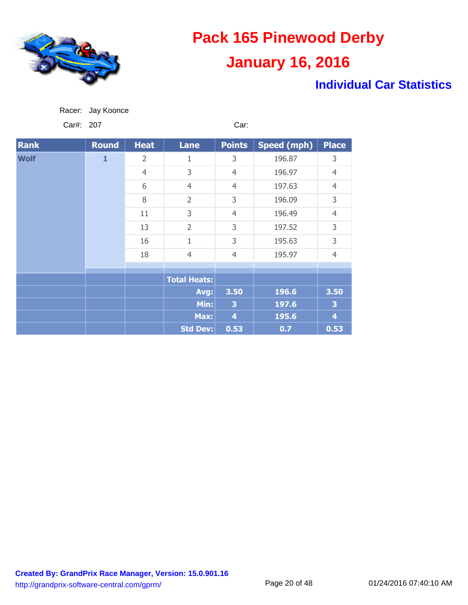

### **Individual Car Statistics**

| Racer: | Jay Koonce |
|--------|------------|
|        |            |

Car#: 207 Car:

| <b>Rank</b> | <b>Round</b> | <b>Heat</b>    | <b>Lane</b>         | <b>Points</b>      | Speed (mph) | <b>Place</b>            |
|-------------|--------------|----------------|---------------------|--------------------|-------------|-------------------------|
| <b>Wolf</b> | $\mathbf{1}$ | $\overline{2}$ | $\mathbf{1}$        | 3                  | 196.87      | 3                       |
|             |              | $\overline{4}$ | 3                   | $\overline{4}$     | 196.97      | $\overline{4}$          |
|             |              | 6              | $\overline{4}$      | $\overline{4}$     | 197.63      | $\overline{4}$          |
|             |              | 8              | $\overline{2}$      | 3                  | 196.09      | 3                       |
|             |              | 11             | 3                   | $\overline{4}$     | 196.49      | $\overline{4}$          |
|             |              | 13             | $\overline{2}$      | 3                  | 197.52      | 3                       |
|             |              | 16             | $\mathbf{1}$        | 3                  | 195.63      | 3                       |
|             |              | 18             | $\overline{4}$      | $\overline{4}$     | 195.97      | $\overline{4}$          |
|             |              |                |                     |                    |             |                         |
|             |              |                | <b>Total Heats:</b> |                    |             |                         |
|             |              |                | Avg:                | 3.50               | 196.6       | 3.50                    |
|             |              |                | Min:                | 3                  | 197.6       | 3                       |
|             |              |                | Max:                | $\overline{\bf 4}$ | 195.6       | $\overline{\mathbf{4}}$ |
|             |              |                | <b>Std Dev:</b>     | 0.53               | 0.7         | 0.53                    |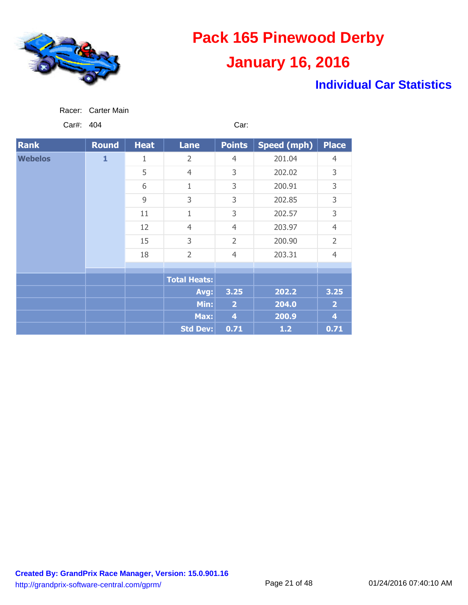

### **Individual Car Statistics**

| Carter Main<br>Racer: |
|-----------------------|
|-----------------------|

Car#: 404 Car:

| <b>Rank</b>    | Round | <b>Heat</b> | <b>Lane</b>         | <b>Points</b>           | Speed (mph) | <b>Place</b>   |
|----------------|-------|-------------|---------------------|-------------------------|-------------|----------------|
| <b>Webelos</b> | 1     | 1           | $\overline{2}$      | $\overline{4}$          | 201.04      | $\overline{4}$ |
|                |       | 5           | $\overline{4}$      | 3                       | 202.02      | 3              |
|                |       | 6           | $\mathbf{1}$        | 3                       | 200.91      | 3              |
|                |       | 9           | 3                   | 3                       | 202.85      | 3              |
|                |       | 11          | 1                   | 3                       | 202.57      | 3              |
|                |       | 12          | $\overline{4}$      | $\overline{4}$          | 203.97      | $\overline{4}$ |
|                |       | 15          | 3                   | $\overline{2}$          | 200.90      | $\overline{2}$ |
|                |       | 18          | $\overline{2}$      | $\overline{4}$          | 203.31      | $\overline{4}$ |
|                |       |             |                     |                         |             |                |
|                |       |             | <b>Total Heats:</b> |                         |             |                |
|                |       |             | Avg:                | 3.25                    | 202.2       | 3.25           |
|                |       |             | Min:                | $\overline{2}$          | 204.0       | $\overline{2}$ |
|                |       |             | Max:                | $\overline{\mathbf{4}}$ | 200.9       | 4              |
|                |       |             | <b>Std Dev:</b>     | 0.71                    | $1.2$       | 0.71           |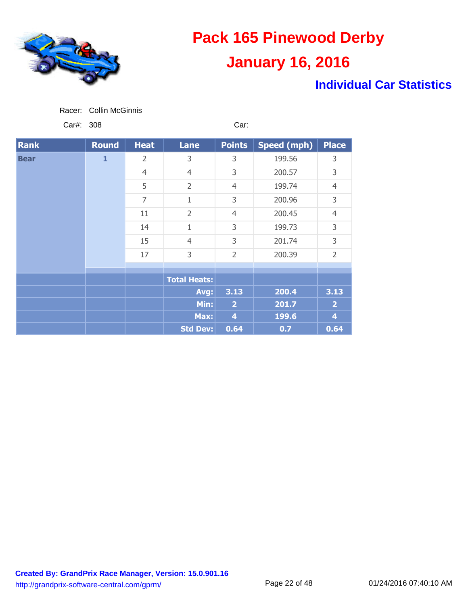

### **Individual Car Statistics**

| Racer: | <b>Collin McGinnis</b> |
|--------|------------------------|
|        |                        |

Car#: 308 Car:

| <b>Rank</b> | <b>Round</b> | <b>Heat</b>    | <b>Lane</b>         | <b>Points</b>  | Speed (mph) | <b>Place</b>            |
|-------------|--------------|----------------|---------------------|----------------|-------------|-------------------------|
| <b>Bear</b> | $\mathbf{1}$ | $\overline{2}$ | 3                   | 3              | 199.56      | 3                       |
|             |              | $\overline{4}$ | $\overline{4}$      | 3              | 200.57      | 3                       |
|             |              | 5              | $\overline{2}$      | $\overline{4}$ | 199.74      | $\overline{4}$          |
|             |              | 7              | 1                   | 3              | 200.96      | 3                       |
|             |              | 11             | $\overline{2}$      | $\overline{4}$ | 200.45      | $\overline{4}$          |
|             |              | 14             | 1                   | 3              | 199.73      | 3                       |
|             |              | 15             | $\overline{4}$      | 3              | 201.74      | 3                       |
|             |              | 17             | 3                   | $\overline{2}$ | 200.39      | $\overline{2}$          |
|             |              |                |                     |                |             |                         |
|             |              |                | <b>Total Heats:</b> |                |             |                         |
|             |              |                | Avg:                | 3.13           | 200.4       | 3.13                    |
|             |              |                | Min:                | $\overline{2}$ | 201.7       | $\overline{2}$          |
|             |              |                | Max:                | $\overline{4}$ | 199.6       | $\overline{\mathbf{4}}$ |
|             |              |                | <b>Std Dev:</b>     | 0.64           | 0.7         | 0.64                    |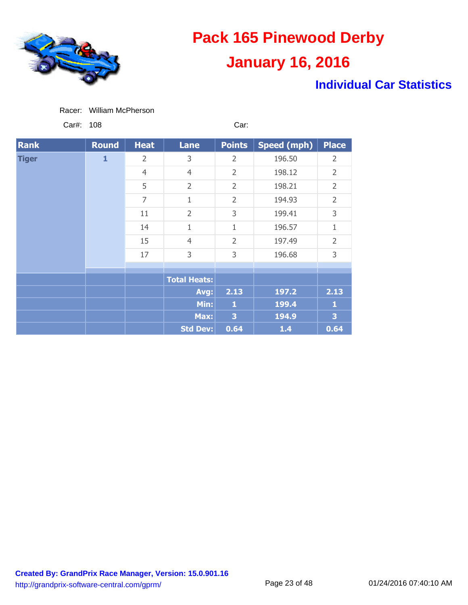

### **Individual Car Statistics**

Car#: 108 Car:

| <b>Rank</b>  | <b>Round</b> | <b>Heat</b>    | <b>Lane</b>         | <b>Points</b>  | <b>Speed (mph)</b> | <b>Place</b>   |
|--------------|--------------|----------------|---------------------|----------------|--------------------|----------------|
| <b>Tiger</b> | $\mathbf{1}$ | $\overline{2}$ | 3                   | 2              | 196.50             | $\overline{2}$ |
|              |              | $\overline{4}$ | $\overline{4}$      | $\overline{2}$ | 198.12             | $\overline{2}$ |
|              |              | 5              | $\overline{2}$      | $\overline{2}$ | 198.21             | $\overline{2}$ |
|              |              | 7              | 1                   | $\overline{2}$ | 194.93             | $\overline{2}$ |
|              |              | 11             | $\overline{2}$      | 3              | 199.41             | 3              |
|              |              | 14             | 1                   | 1              | 196.57             | 1              |
|              |              | 15             | $\overline{4}$      | $\overline{2}$ | 197.49             | $\overline{2}$ |
|              |              | 17             | 3                   | 3              | 196.68             | 3              |
|              |              |                |                     |                |                    |                |
|              |              |                | <b>Total Heats:</b> |                |                    |                |
|              |              |                | Avg:                | 2.13           | 197.2              | 2.13           |
|              |              |                | Min:                | 1              | 199.4              | 1              |
|              |              |                | Max:                | 3              | 194.9              | 3              |
|              |              |                | <b>Std Dev:</b>     | 0.64           | $1.4$              | 0.64           |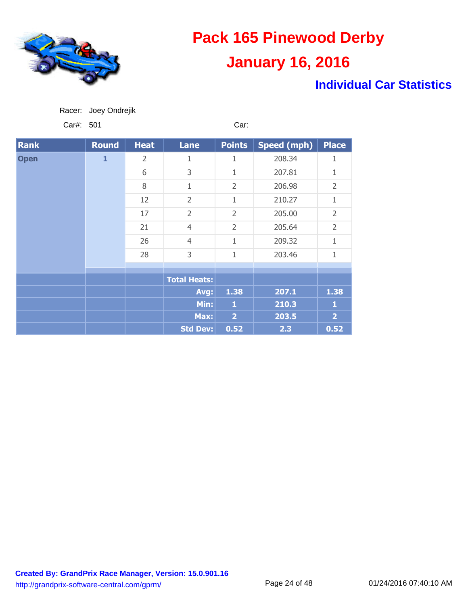

### **Individual Car Statistics**

Car#: 501 Car:

| <b>Rank</b> | <b>Round</b> | <b>Heat</b> | <b>Lane</b>         | <b>Points</b>  | Speed (mph) | <b>Place</b>   |
|-------------|--------------|-------------|---------------------|----------------|-------------|----------------|
| <b>Open</b> | $\mathbf{1}$ | 2           | 1                   | 1              | 208.34      | 1              |
|             |              | 6           | 3                   | 1              | 207.81      | 1              |
|             |              | 8           | 1                   | $\overline{2}$ | 206.98      | $\overline{2}$ |
|             |              | 12          | $\overline{2}$      | 1              | 210.27      | 1              |
|             |              | 17          | $\overline{2}$      | $\overline{2}$ | 205.00      | $\overline{2}$ |
|             |              | 21          | $\overline{4}$      | $\overline{2}$ | 205.64      | $\overline{2}$ |
|             |              | 26          | $\overline{4}$      | 1              | 209.32      | 1              |
|             |              | 28          | 3                   | $\mathbf{1}$   | 203.46      | 1              |
|             |              |             |                     |                |             |                |
|             |              |             | <b>Total Heats:</b> |                |             |                |
|             |              |             | Avg:                | 1.38           | 207.1       | 1.38           |
|             |              |             | Min:                | 1              | 210.3       | 1              |
|             |              |             | Max:                | $\overline{2}$ | 203.5       | $\overline{2}$ |
|             |              |             | <b>Std Dev:</b>     | 0.52           | 2.3         | 0.52           |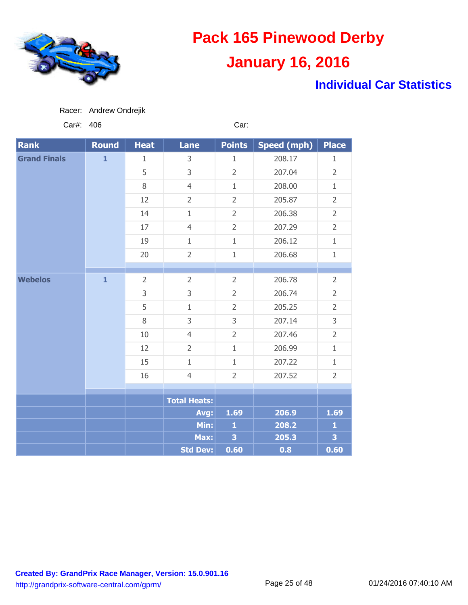

### **Individual Car Statistics**

| Racer: | Andrew Ondrejik |
|--------|-----------------|
|        |                 |

Car#: 406 Car:

| <b>Rank</b>         | <b>Round</b> | <b>Heat</b>    | <b>Lane</b>         | <b>Points</b>           | <b>Speed (mph)</b> | <b>Place</b>            |
|---------------------|--------------|----------------|---------------------|-------------------------|--------------------|-------------------------|
| <b>Grand Finals</b> | $\mathbf{1}$ | $\mathbf{1}$   | 3                   | $\mathbf{1}$            | 208.17             | $\mathbf 1$             |
|                     |              | 5              | 3                   | $\overline{2}$          | 207.04             | $\overline{2}$          |
|                     |              | $8\,$          | $\overline{4}$      | $\mathbf{1}$            | 208.00             | $\mathbf{1}$            |
|                     |              | 12             | $\overline{2}$      | $\overline{2}$          | 205.87             | $\overline{2}$          |
|                     |              | 14             | $\mathbf{1}$        | $\overline{2}$          | 206.38             | $\overline{2}$          |
|                     |              | 17             | $\overline{4}$      | $\overline{2}$          | 207.29             | $\overline{2}$          |
|                     |              | 19             | $\mathbf 1$         | $1\,$                   | 206.12             | $\mathbf{1}$            |
|                     |              | 20             | $\overline{2}$      | $1\,$                   | 206.68             | $\mathbf{1}$            |
|                     |              |                |                     |                         |                    |                         |
| <b>Webelos</b>      | $\mathbf{1}$ | $\overline{2}$ | $\overline{2}$      | $\overline{2}$          | 206.78             | $\overline{2}$          |
|                     |              | 3              | 3                   | $\overline{2}$          | 206.74             | $\overline{2}$          |
|                     |              | 5              | $\mathbf{1}$        | $\overline{2}$          | 205.25             | $\overline{2}$          |
|                     |              | $8\,$          | 3                   | 3                       | 207.14             | 3                       |
|                     |              | 10             | $\overline{4}$      | $\overline{2}$          | 207.46             | $\overline{2}$          |
|                     |              | 12             | $\overline{2}$      | $1\,$                   | 206.99             | $\mathbf{1}$            |
|                     |              | 15             | $\mathbf{1}$        | $\mathbf{1}$            | 207.22             | $\mathbf{1}$            |
|                     |              | 16             | $\overline{4}$      | $\overline{2}$          | 207.52             | $\overline{2}$          |
|                     |              |                |                     |                         |                    |                         |
|                     |              |                | <b>Total Heats:</b> |                         |                    |                         |
|                     |              |                | Avg:                | 1.69                    | 206.9              | 1.69                    |
|                     |              |                | Min:                | $\mathbf{1}$            | 208.2              | $\mathbf{1}$            |
|                     |              |                | Max:                | $\overline{\mathbf{3}}$ | 205.3              | $\overline{\mathbf{3}}$ |
|                     |              |                | <b>Std Dev:</b>     | 0.60                    | 0.8                | 0.60                    |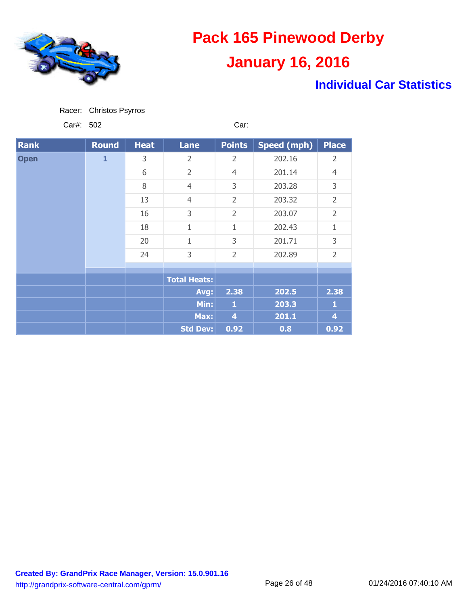

### **Individual Car Statistics**

Car#: 502 Car:

| <b>Rank</b> | Round        | <b>Heat</b> | <b>Lane</b>         | <b>Points</b>  | Speed (mph) | <b>Place</b>   |
|-------------|--------------|-------------|---------------------|----------------|-------------|----------------|
| <b>Open</b> | $\mathbf{1}$ | 3           | $\overline{2}$      | $\overline{2}$ | 202.16      | $\overline{2}$ |
|             |              | 6           | $\overline{2}$      | $\overline{4}$ | 201.14      | $\overline{4}$ |
|             |              | 8           | $\overline{4}$      | 3              | 203.28      | 3              |
|             |              | 13          | $\overline{4}$      | $\overline{2}$ | 203.32      | $\overline{2}$ |
|             |              | 16          | 3                   | $\overline{2}$ | 203.07      | $\overline{2}$ |
|             |              | 18          | 1                   | 1              | 202.43      | 1              |
|             |              | 20          | 1                   | 3              | 201.71      | 3              |
|             |              | 24          | 3                   | $\overline{2}$ | 202.89      | $\overline{2}$ |
|             |              |             |                     |                |             |                |
|             |              |             | <b>Total Heats:</b> |                |             |                |
|             |              |             | Avg:                | 2.38           | 202.5       | 2.38           |
|             |              |             | Min:                | 1              | 203.3       | 1              |
|             |              |             | Max:                | 4              | 201.1       | 4              |
|             |              |             | <b>Std Dev:</b>     | 0.92           | 0.8         | 0.92           |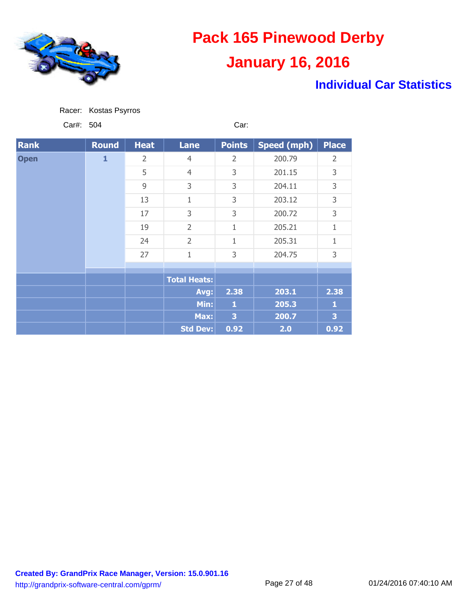

### **Individual Car Statistics**

Car#: 504 Car:

| <b>Rank</b> | <b>Round</b> | <b>Heat</b>    | <b>Lane</b>         | <b>Points</b> | Speed (mph) | <b>Place</b> |
|-------------|--------------|----------------|---------------------|---------------|-------------|--------------|
| <b>Open</b> | $\mathbf{1}$ | $\overline{2}$ | $\overline{4}$      | 2             | 200.79      | 2            |
|             |              | 5              | $\overline{4}$      | 3             | 201.15      | 3            |
|             |              | 9              | 3                   | 3             | 204.11      | 3            |
|             |              | 13             | 1                   | 3             | 203.12      | 3            |
|             |              | 17             | 3                   | 3             | 200.72      | 3            |
|             |              | 19             | $\overline{2}$      | 1             | 205.21      | 1            |
|             |              | 24             | $\overline{2}$      | 1             | 205.31      | 1            |
|             |              | 27             | $\mathbf{1}$        | 3             | 204.75      | 3            |
|             |              |                |                     |               |             |              |
|             |              |                | <b>Total Heats:</b> |               |             |              |
|             |              |                | Avg:                | 2.38          | 203.1       | 2.38         |
|             |              |                | Min:                | 1             | 205.3       | 1            |
|             |              |                | Max:                | 3             | 200.7       | 3            |
|             |              |                | <b>Std Dev:</b>     | 0.92          | 2.0         | 0.92         |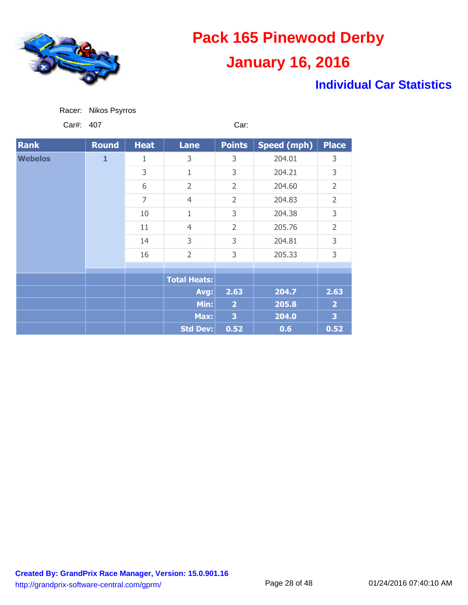

### **Individual Car Statistics**

| Racer: | Nikos Psyrros |
|--------|---------------|
|        |               |

Car#: 407 Car:

| <b>Rank</b>    | <b>Round</b> | <b>Heat</b>    | <b>Lane</b>         | <b>Points</b>  | <b>Speed (mph)</b> | <b>Place</b>   |
|----------------|--------------|----------------|---------------------|----------------|--------------------|----------------|
| <b>Webelos</b> | $\mathbf{1}$ | 1              | 3                   | 3              | 204.01             | 3              |
|                |              | 3              | 1                   | 3              | 204.21             | 3              |
|                |              | 6              | $\overline{2}$      | $\overline{2}$ | 204.60             | $\overline{2}$ |
|                |              | $\overline{7}$ | $\overline{4}$      | $\overline{2}$ | 204.83             | $\overline{2}$ |
|                |              | 10             | 1                   | 3              | 204.38             | 3              |
|                |              | 11             | $\overline{4}$      | $\overline{2}$ | 205.76             | $\overline{2}$ |
|                |              | 14             | 3                   | 3              | 204.81             | 3              |
|                |              | 16             | $\overline{2}$      | 3              | 205.33             | 3              |
|                |              |                |                     |                |                    |                |
|                |              |                | <b>Total Heats:</b> |                |                    |                |
|                |              |                | Avg:                | 2.63           | 204.7              | 2.63           |
|                |              |                | Min:                | $\overline{2}$ | 205.8              | $\overline{2}$ |
|                |              |                | Max:                | 3              | 204.0              | 3              |
|                |              |                | <b>Std Dev:</b>     | 0.52           | 0.6                | 0.52           |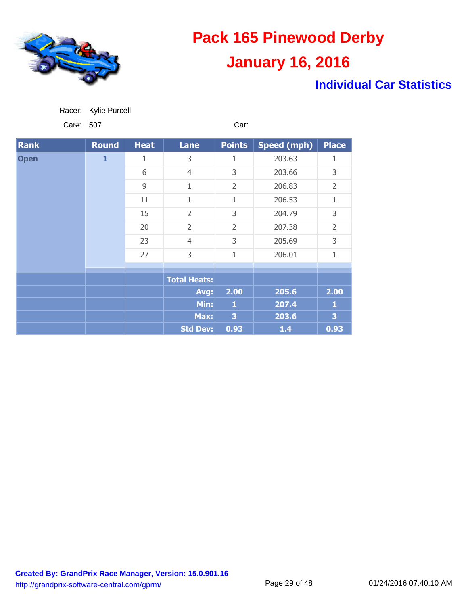

### **Individual Car Statistics**

| Racer: | Kylie Purcell |
|--------|---------------|
|        |               |

Car#: 507 Car:

| <b>Rank</b> | <b>Round</b> | <b>Heat</b> | <b>Lane</b>         | <b>Points</b>           | <b>Speed (mph)</b> | <b>Place</b>   |
|-------------|--------------|-------------|---------------------|-------------------------|--------------------|----------------|
| <b>Open</b> | $\mathbf{1}$ | 1           | 3                   | 1                       | 203.63             | 1              |
|             |              | 6           | $\overline{4}$      | 3                       | 203.66             | 3              |
|             |              | 9           | 1                   | $\overline{2}$          | 206.83             | $\overline{2}$ |
|             |              | 11          | 1                   | 1                       | 206.53             | 1              |
|             |              | 15          | $\overline{2}$      | 3                       | 204.79             | 3              |
|             |              | 20          | $\overline{2}$      | $\overline{2}$          | 207.38             | $\overline{2}$ |
|             |              | 23          | $\overline{4}$      | 3                       | 205.69             | 3              |
|             |              | 27          | 3                   | 1                       | 206.01             | 1              |
|             |              |             |                     |                         |                    |                |
|             |              |             | <b>Total Heats:</b> |                         |                    |                |
|             |              |             | Avg:                | 2.00                    | 205.6              | 2.00           |
|             |              |             | Min:                | $\mathbf{1}$            | 207.4              | 1              |
|             |              |             | Max:                | $\overline{\mathbf{3}}$ | 203.6              | 3              |
|             |              |             | <b>Std Dev:</b>     | 0.93                    | $1.4$              | 0.93           |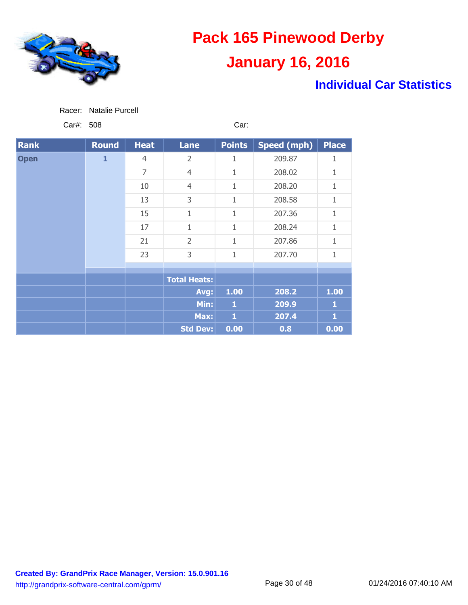

### **Individual Car Statistics**

| Racer: | <b>Natalie Purcell</b> |
|--------|------------------------|
|        |                        |

Car#: 508 Car:

| <b>Rank</b> | <b>Round</b> | <b>Heat</b>    | <b>Lane</b>         | <b>Points</b> | Speed (mph) | <b>Place</b> |
|-------------|--------------|----------------|---------------------|---------------|-------------|--------------|
| <b>Open</b> | $\mathbf{1}$ | $\overline{4}$ | 2                   | 1             | 209.87      | 1            |
|             |              | 7              | $\overline{4}$      | 1             | 208.02      | 1            |
|             |              | 10             | $\overline{4}$      | $\mathbf{1}$  | 208.20      | 1            |
|             |              | 13             | 3                   | 1             | 208.58      | 1            |
|             |              | 15             | 1                   | $\mathbf 1$   | 207.36      | 1            |
|             |              | 17             | 1                   | 1             | 208.24      | 1            |
|             |              | 21             | $\overline{2}$      | 1             | 207.86      | 1            |
|             |              | 23             | 3                   | $\mathbf{1}$  | 207.70      | 1            |
|             |              |                |                     |               |             |              |
|             |              |                | <b>Total Heats:</b> |               |             |              |
|             |              |                | Avg:                | 1.00          | 208.2       | 1.00         |
|             |              |                | Min:                | 1             | 209.9       | 1            |
|             |              |                | Max:                | $\mathbf{1}$  | 207.4       | $\mathbf{1}$ |
|             |              |                | <b>Std Dev:</b>     | 0.00          | 0.8         | 0.00         |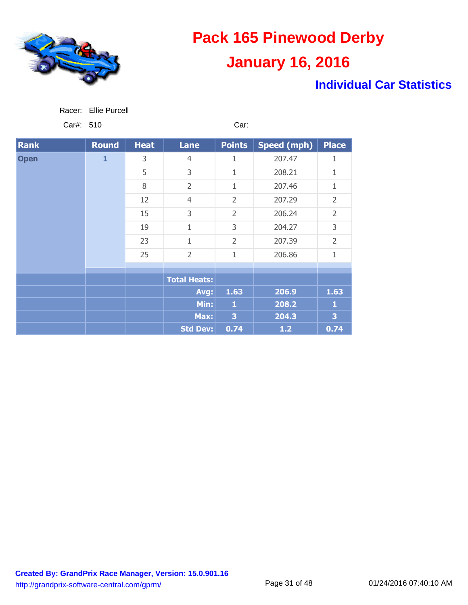

### **Individual Car Statistics**

| Racer: | Ellie Purcell |
|--------|---------------|
|--------|---------------|

Car#: 510 Car:

| <b>Rank</b> | <b>Round</b> | <b>Heat</b> | <b>Lane</b>         | <b>Points</b>  | Speed (mph) | <b>Place</b>   |
|-------------|--------------|-------------|---------------------|----------------|-------------|----------------|
| <b>Open</b> | $\mathbf{1}$ | 3           | $\overline{4}$      | 1              | 207.47      | 1              |
|             |              | 5           | 3                   | 1              | 208.21      | 1              |
|             |              | 8           | $\overline{2}$      | 1              | 207.46      | 1              |
|             |              | 12          | $\overline{4}$      | $\overline{2}$ | 207.29      | $\overline{2}$ |
|             |              | 15          | 3                   | $\overline{2}$ | 206.24      | $\overline{2}$ |
|             |              | 19          | 1                   | 3              | 204.27      | 3              |
|             |              | 23          | 1                   | $\overline{2}$ | 207.39      | $\overline{2}$ |
|             |              | 25          | $\overline{2}$      | $\mathbf 1$    | 206.86      | 1              |
|             |              |             |                     |                |             |                |
|             |              |             | <b>Total Heats:</b> |                |             |                |
|             |              |             | Avg:                | 1.63           | 206.9       | 1.63           |
|             |              |             | Min:                | $\mathbf{1}$   | 208.2       | 1              |
|             |              |             | Max:                | 3              | 204.3       | 3              |
|             |              |             | <b>Std Dev:</b>     | 0.74           | $1.2$       | 0.74           |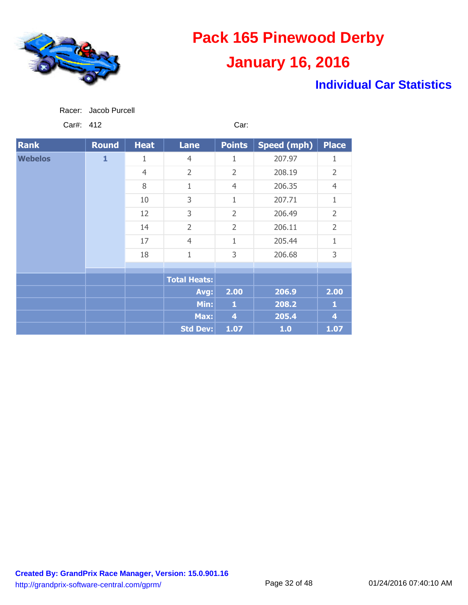

### **Individual Car Statistics**

| Racer: | Jacob Purcell |
|--------|---------------|
|        |               |

Car#: 412 Car:

| <b>Rank</b>    | <b>Round</b> | <b>Heat</b>    | <b>Lane</b>         | <b>Points</b>  | <b>Speed (mph)</b> | <b>Place</b>   |
|----------------|--------------|----------------|---------------------|----------------|--------------------|----------------|
| <b>Webelos</b> | $\mathbf{1}$ | 1              | $\overline{4}$      | 1              | 207.97             | 1              |
|                |              | $\overline{4}$ | $\overline{2}$      | $\overline{2}$ | 208.19             | $\overline{2}$ |
|                |              | 8              | 1                   | $\overline{4}$ | 206.35             | $\overline{4}$ |
|                |              | 10             | 3                   | 1              | 207.71             | 1              |
|                |              | 12             | 3                   | $\overline{2}$ | 206.49             | $\overline{2}$ |
|                |              | 14             | $\overline{2}$      | $\overline{2}$ | 206.11             | $\overline{2}$ |
|                |              | 17             | $\overline{4}$      | 1              | 205.44             | 1              |
|                |              | 18             | $\mathbf{1}$        | 3              | 206.68             | 3              |
|                |              |                |                     |                |                    |                |
|                |              |                | <b>Total Heats:</b> |                |                    |                |
|                |              |                | Avg:                | 2.00           | 206.9              | 2.00           |
|                |              |                | Min:                | 1              | 208.2              | 1              |
|                |              |                | Max:                | 4              | 205.4              | 4              |
|                |              |                | <b>Std Dev:</b>     | 1.07           | 1.0                | 1.07           |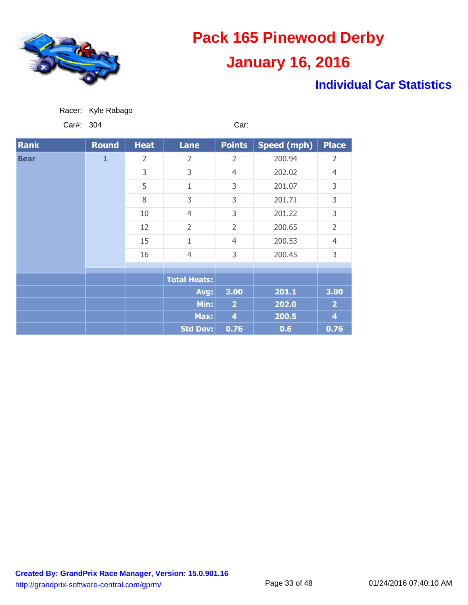

### **Individual Car Statistics**

| Racer: | Kyle Rabago |  |
|--------|-------------|--|
|        |             |  |

Car#: 304 Car:

| <b>Rank</b> | Round | <b>Heat</b>    | <b>Lane</b>         | <b>Points</b>  | Speed (mph)    | <b>Place</b>   |        |   |
|-------------|-------|----------------|---------------------|----------------|----------------|----------------|--------|---|
| <b>Bear</b> | 1     | $\overline{2}$ | $\overline{2}$      | $\overline{2}$ | 200.94         | 2              |        |   |
|             |       | 3              | 3                   | $\overline{4}$ | 202.02         | $\overline{4}$ |        |   |
|             |       |                | 5                   | 1              | 3              | 201.07         | 3      |   |
|             |       | 8              | 3                   | 3              | 201.71         | 3              |        |   |
|             |       |                |                     | 10             | $\overline{4}$ | 3              | 201.22 | 3 |
|             |       | 12             | $\overline{2}$      | $\overline{2}$ | 200.65         | $\overline{2}$ |        |   |
|             |       | 15             | 1                   | $\overline{4}$ | 200.53         | $\overline{4}$ |        |   |
|             |       | 16             | $\overline{4}$      | 3              | 200.45         | 3              |        |   |
|             |       |                |                     |                |                |                |        |   |
|             |       |                | <b>Total Heats:</b> |                |                |                |        |   |
|             |       |                | Avg:                | 3.00           | 201.1          | 3.00           |        |   |
|             |       |                | Min:                | $\overline{2}$ | 202.0          | $\overline{2}$ |        |   |
|             |       |                | Max:                | 4              | 200.5          | 4              |        |   |
|             |       |                | <b>Std Dev:</b>     | 0.76           | 0.6            | 0.76           |        |   |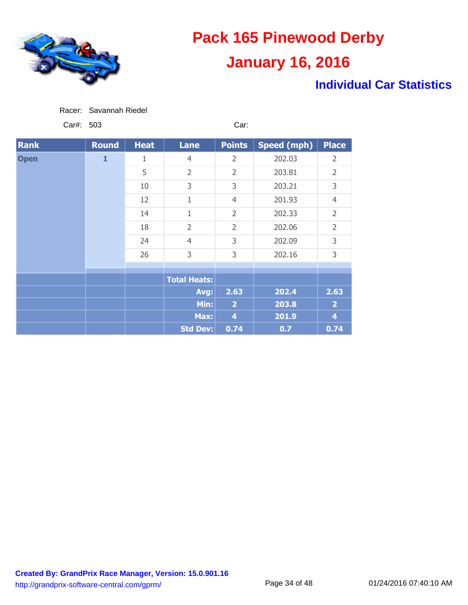

### **Individual Car Statistics**

|  |  | Racer: Savannah Riedel |  |
|--|--|------------------------|--|
|--|--|------------------------|--|

Car#: 503 Car:

| <b>Rank</b> | <b>Round</b> | <b>Heat</b> | <b>Lane</b>         | <b>Points</b>           | <b>Speed (mph)</b> | <b>Place</b>   |        |                |
|-------------|--------------|-------------|---------------------|-------------------------|--------------------|----------------|--------|----------------|
| <b>Open</b> | $\mathbf{1}$ | 1           | $\overline{4}$      | $\overline{2}$          | 202.03             | $\overline{2}$ |        |                |
|             |              | 5           | $\overline{2}$      | $\overline{2}$          | 203.81             | $\overline{2}$ |        |                |
|             |              | 10          | 3                   | 3                       | 203.21             | 3              |        |                |
|             |              | 12          | 1                   | $\overline{4}$          | 201.93             | $\overline{4}$ |        |                |
|             |              |             |                     | 14                      | 1                  | $\overline{2}$ | 202.33 | $\overline{2}$ |
|             |              | 18          | $\overline{2}$      | $\overline{2}$          | 202.06             | $\overline{2}$ |        |                |
|             |              |             |                     | 24                      | $\overline{4}$     | 3              | 202.09 | 3              |
|             |              | 26          | 3                   | 3                       | 202.16             | 3              |        |                |
|             |              |             |                     |                         |                    |                |        |                |
|             |              |             | <b>Total Heats:</b> |                         |                    |                |        |                |
|             |              |             | Avg:                | 2.63                    | 202.4              | 2.63           |        |                |
|             |              |             | Min:                | $\overline{\mathbf{2}}$ | 203.8              | $\overline{2}$ |        |                |
|             |              |             | Max:                | $\overline{4}$          | 201.9              | $\overline{4}$ |        |                |
|             |              |             | <b>Std Dev:</b>     | 0.74                    | 0.7                | 0.74           |        |                |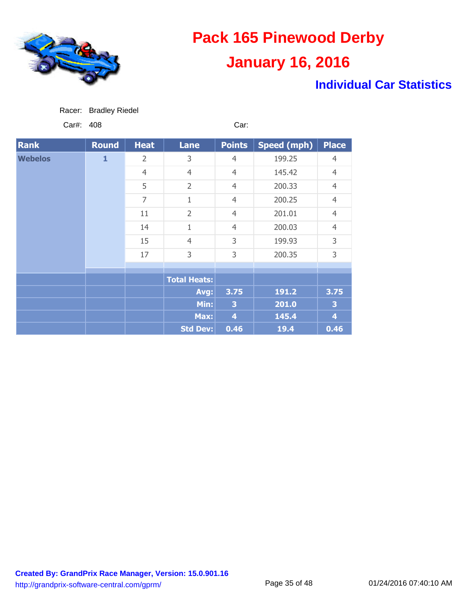

### **Individual Car Statistics**

| Racer: Bradley Riedel |
|-----------------------|
|-----------------------|

Car#: 408 Car:

| <b>Rank</b>    | <b>Round</b> | <b>Heat</b>    | <b>Lane</b>         | <b>Points</b>           | <b>Speed (mph)</b> | <b>Place</b>   |   |        |   |
|----------------|--------------|----------------|---------------------|-------------------------|--------------------|----------------|---|--------|---|
| <b>Webelos</b> | $\mathbf{1}$ | 2              | 3                   | $\overline{4}$          | 199.25             | $\overline{4}$ |   |        |   |
|                |              | $\overline{4}$ | $\overline{4}$      | $\overline{4}$          | 145.42             | $\overline{4}$ |   |        |   |
|                |              | 5              | $\overline{2}$      | $\overline{4}$          | 200.33             | $\overline{4}$ |   |        |   |
|                |              | $\overline{7}$ | 1                   | $\overline{4}$          | 200.25             | $\overline{4}$ |   |        |   |
|                |              | 11             | $\overline{2}$      | $\overline{4}$          | 201.01             | $\overline{4}$ |   |        |   |
|                |              | 14             | $\mathbf{1}$        | $\overline{4}$          | 200.03             | $\overline{4}$ |   |        |   |
|                |              |                |                     |                         | 15                 | $\overline{4}$ | 3 | 199.93 | 3 |
|                |              | 17             | 3                   | 3                       | 200.35             | 3              |   |        |   |
|                |              |                |                     |                         |                    |                |   |        |   |
|                |              |                | <b>Total Heats:</b> |                         |                    |                |   |        |   |
|                |              |                | Avg:                | 3.75                    | 191.2              | 3.75           |   |        |   |
|                |              |                | Min:                | $\overline{\mathbf{3}}$ | 201.0              | 3              |   |        |   |
|                |              |                | Max:                | $\overline{4}$          | 145.4              | $\overline{4}$ |   |        |   |
|                |              |                | <b>Std Dev:</b>     | 0.46                    | 19.4               | 0.46           |   |        |   |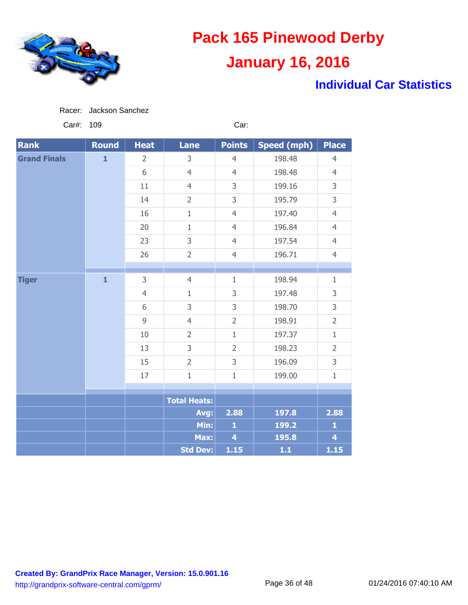

### **Individual Car Statistics**

Car#: 109 Car:

| <b>Rank</b>         | <b>Round</b>   | <b>Heat</b>    | <b>Lane</b>         | <b>Points</b>           | <b>Speed (mph)</b> | <b>Place</b>            |
|---------------------|----------------|----------------|---------------------|-------------------------|--------------------|-------------------------|
| <b>Grand Finals</b> | $\mathbf{1}$   | $\overline{2}$ | 3                   | $\overline{4}$          | 198.48             | $\overline{4}$          |
|                     |                | 6              | $\overline{4}$      | $\overline{4}$          | 198.48             | $\overline{4}$          |
|                     |                | 11             | $\overline{4}$      | 3                       | 199.16             | 3                       |
|                     |                | 14             | $\overline{2}$      | 3                       | 195.79             | 3                       |
|                     |                | 16             | $\mathbf{1}$        | $\overline{4}$          | 197.40             | $\overline{4}$          |
|                     |                | 20             | $\mathbf{1}$        | $\overline{4}$          | 196.84             | $\overline{4}$          |
|                     |                | 23             | 3                   | $\overline{4}$          | 197.54             | $\overline{4}$          |
|                     |                | 26             | $\overline{2}$      | $\overline{4}$          | 196.71             | $\overline{4}$          |
|                     |                |                |                     |                         |                    |                         |
| <b>Tiger</b>        | $\mathbf{1}$   | 3              | $\overline{4}$      | $\mathbf{1}$            | 198.94             | $\mathbf{1}$            |
|                     |                | $\overline{4}$ | $\mathbf{1}$        | 3                       | 197.48             | 3                       |
|                     |                | 6              | 3                   | 3                       | 198.70             | 3                       |
|                     | $\overline{9}$ | $\overline{4}$ | $\overline{2}$      | 198.91                  | $\overline{2}$     |                         |
|                     |                | 10             | $\overline{2}$      | $\mathbf{1}$            | 197.37             | $\mathbf{1}$            |
|                     |                | 13             | 3                   | $\overline{2}$          | 198.23             | $\overline{2}$          |
|                     |                | 15             | $\overline{2}$      | 3                       | 196.09             | 3                       |
|                     | 17             | $1\,$          | $1\,$               | 199.00                  | $\mathbf{1}$       |                         |
|                     |                |                |                     |                         |                    |                         |
|                     |                |                | <b>Total Heats:</b> |                         |                    |                         |
|                     |                |                | Avg:                | 2.88                    | 197.8              | 2.88                    |
|                     |                |                | Min:                | $\mathbf{1}$            | 199.2              | $\mathbf{1}$            |
|                     |                |                | Max:                | $\overline{\mathbf{4}}$ | 195.8              | $\overline{\mathbf{4}}$ |
|                     |                |                | <b>Std Dev:</b>     | 1.15                    | $1.1$              | $1.15$                  |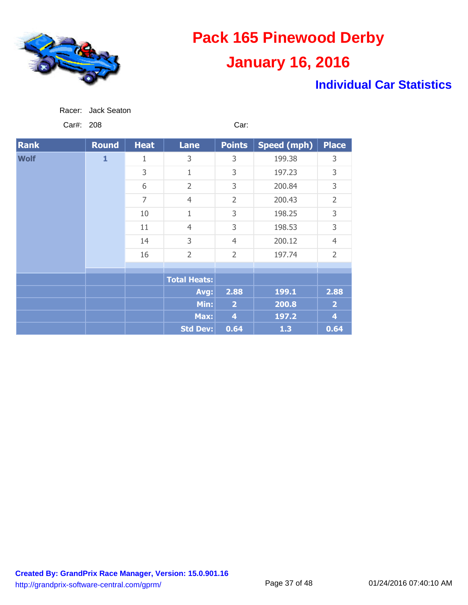

### **Individual Car Statistics**

Car#: 208 Car:

| <b>Rank</b> | <b>Round</b> | <b>Heat</b> | <b>Lane</b>         | <b>Points</b>  | Speed (mph) | <b>Place</b>   |
|-------------|--------------|-------------|---------------------|----------------|-------------|----------------|
| <b>Wolf</b> | $\mathbf{1}$ | 1           | 3                   | 3              | 199.38      | 3              |
|             |              | 3           | 1                   | 3              | 197.23      | 3              |
|             |              | 6           | $\overline{2}$      | 3              | 200.84      | 3              |
|             |              | 7           | $\overline{4}$      | $\overline{2}$ | 200.43      | $\overline{2}$ |
|             |              | 10          | 1                   | 3              | 198.25      | 3              |
|             |              | 11          | $\overline{4}$      | 3              | 198.53      | 3              |
|             |              | 14          | 3                   | $\overline{4}$ | 200.12      | $\overline{4}$ |
|             |              | 16          | $\overline{2}$      | $\overline{2}$ | 197.74      | $\overline{2}$ |
|             |              |             |                     |                |             |                |
|             |              |             | <b>Total Heats:</b> |                |             |                |
|             |              |             | Avg:                | 2.88           | 199.1       | 2.88           |
|             |              |             | Min:                | $\overline{2}$ | 200.8       | $\overline{2}$ |
|             |              |             | Max:                | 4              | 197.2       | 4              |
|             |              |             | <b>Std Dev:</b>     | 0.64           | 1.3         | 0.64           |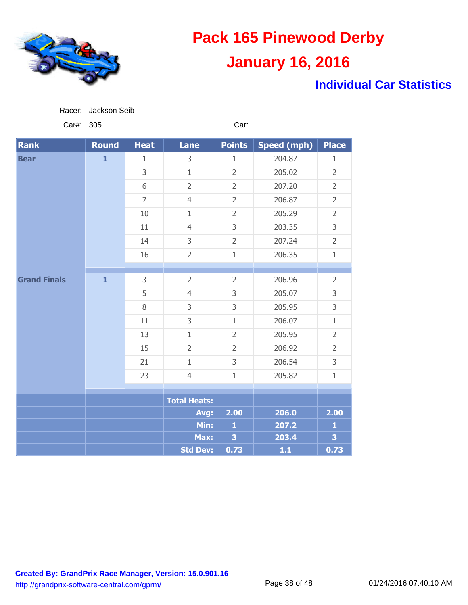

### **Individual Car Statistics**

| Car#:               | 305          |                |                     | Car:           |                    |                |
|---------------------|--------------|----------------|---------------------|----------------|--------------------|----------------|
| <b>Rank</b>         | <b>Round</b> | <b>Heat</b>    | <b>Lane</b>         | <b>Points</b>  | <b>Speed (mph)</b> | <b>Place</b>   |
| <b>Bear</b>         | $\mathbf{1}$ | $\mathbf{1}$   | 3                   | $\mathbf{1}$   | 204.87             | $\mathbf{1}$   |
|                     |              | 3              | $\mathbf{1}$        | $\overline{2}$ | 205.02             | $\overline{2}$ |
|                     |              | 6              | $\overline{2}$      | $\overline{2}$ | 207.20             | $\overline{2}$ |
|                     |              | $\overline{7}$ | $\overline{4}$      | $\overline{2}$ | 206.87             | $\overline{2}$ |
|                     |              | 10             | $1\,$               | $\overline{2}$ | 205.29             | $\overline{2}$ |
|                     |              | 11             | $\overline{4}$      | 3              | 203.35             | 3              |
|                     |              | 14             | 3                   | $\overline{2}$ | 207.24             | $\overline{2}$ |
|                     |              | 16             | $\overline{2}$      | $\mathbf 1$    | 206.35             | $\mathbf 1$    |
|                     |              |                |                     |                |                    |                |
| <b>Grand Finals</b> | $\mathbf{1}$ | 3              | $\overline{2}$      | $\overline{2}$ | 206.96             | $\overline{2}$ |
|                     |              | 5              | $\overline{4}$      | 3              | 205.07             | 3              |
|                     |              | 8              | 3                   | 3              | 205.95             | 3              |
|                     |              | 11             | 3                   | $\mathbf{1}$   | 206.07             | $1\,$          |
|                     |              | 13             | $1\,$               | $\overline{2}$ | 205.95             | $\overline{2}$ |
|                     |              | 15             | $\overline{2}$      | $\overline{2}$ | 206.92             | $\overline{2}$ |
|                     |              | 21             | $1\,$               | 3              | 206.54             | 3              |
|                     |              | 23             | $\overline{4}$      | $1\,$          | 205.82             | $1\,$          |
|                     |              |                |                     |                |                    |                |
|                     |              |                | <b>Total Heats:</b> |                |                    |                |
|                     |              |                | Avg:                | 2.00           | 206.0              | 2.00           |
|                     |              |                | Min:                | $\mathbf{1}$   | 207.2              | $\mathbf{1}$   |
|                     |              |                | Max:                | 3              | 203.4              | 3              |
|                     |              |                | <b>Std Dev:</b>     | 0.73           | $1.1$              | 0.73           |

**Created By: GrandPrix Race Manager, Version: 15.0.901.16** http://grandprix-software-central.com/gprm/ Page 38 of 48 01/24/2016 07:40:10 AM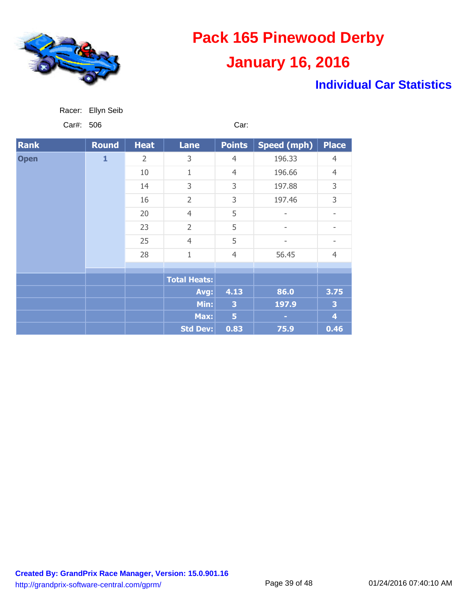

Racer: Ellyn Seib

# **Pack 165 Pinewood Derby January 16, 2016**

### **Individual Car Statistics**

| Car#: 506   |       |                | Car:                |                |                          |                   |
|-------------|-------|----------------|---------------------|----------------|--------------------------|-------------------|
| <b>Rank</b> | Round | <b>Heat</b>    | <b>Lane</b>         | <b>Points</b>  | <b>Speed (mph)</b>       | <b>Place</b>      |
| <b>Open</b> | 1     | 2              | 3                   | $\overline{4}$ | 196.33                   | $\overline{4}$    |
|             |       | 10             | $\mathbf{1}$        | $\overline{4}$ | 196.66                   | $\overline{4}$    |
|             | 14    | 3              | 3                   | 197.88         | 3                        |                   |
|             | 16    | $\overline{2}$ | 3                   | 197.46         | 3                        |                   |
|             |       | 20             | $\overline{4}$      | 5              | $\overline{\phantom{a}}$ | $\qquad \qquad -$ |
|             |       | 23             | $\overline{2}$      | 5              |                          |                   |
|             | 25    | $\overline{4}$ | 5                   | -              |                          |                   |
|             | 28    | $\mathbf{1}$   | $\overline{4}$      | 56.45          | $\overline{4}$           |                   |
|             |       |                |                     |                |                          |                   |
|             |       |                | <b>Total Heats:</b> |                |                          |                   |
|             |       |                | Avg:                | 4.13           | 86.0                     | 3.75              |
|             |       |                | Min:                | 3              | 197.9                    | 3                 |
|             |       |                | Max:                | 5              |                          | 4                 |
|             |       |                | <b>Std Dev:</b>     | 0.83           | 75.9                     | 0.46              |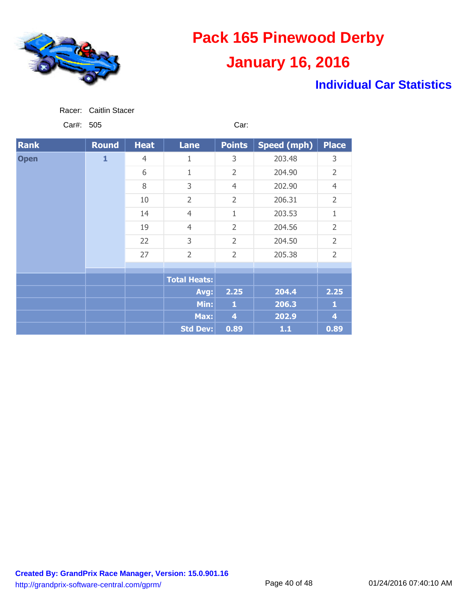

### **Individual Car Statistics**

| Racer: | Caitlin Stacer |
|--------|----------------|
|        |                |

Car#: 505 Car:

| <b>Rank</b> | <b>Round</b> | <b>Heat</b>    | <b>Lane</b>         | <b>Points</b>  | Speed (mph) | <b>Place</b>   |
|-------------|--------------|----------------|---------------------|----------------|-------------|----------------|
| <b>Open</b> | $\mathbf{1}$ | $\overline{4}$ | 1                   | 3              | 203.48      | 3              |
|             |              | 6              | 1                   | $\overline{2}$ | 204.90      | $\overline{2}$ |
|             |              | 8              | 3                   | $\overline{4}$ | 202.90      | $\overline{4}$ |
|             |              | 10             | $\overline{2}$      | $\overline{2}$ | 206.31      | $\overline{2}$ |
|             |              | 14             | $\overline{4}$      | $\mathbf 1$    | 203.53      | 1              |
|             |              | 19             | $\overline{4}$      | $\overline{2}$ | 204.56      | $\overline{2}$ |
|             |              | 22             | 3                   | $\overline{2}$ | 204.50      | $\overline{2}$ |
|             |              | 27             | $\overline{2}$      | $\overline{2}$ | 205.38      | $\overline{2}$ |
|             |              |                |                     |                |             |                |
|             |              |                | <b>Total Heats:</b> |                |             |                |
|             |              |                | Avg:                | 2.25           | 204.4       | 2.25           |
|             |              |                | Min:                | 1              | 206.3       | 1              |
|             |              |                |                     | Max:           | 4           | 202.9          |
|             |              |                | <b>Std Dev:</b>     | 0.89           | $1.1$       | 0.89           |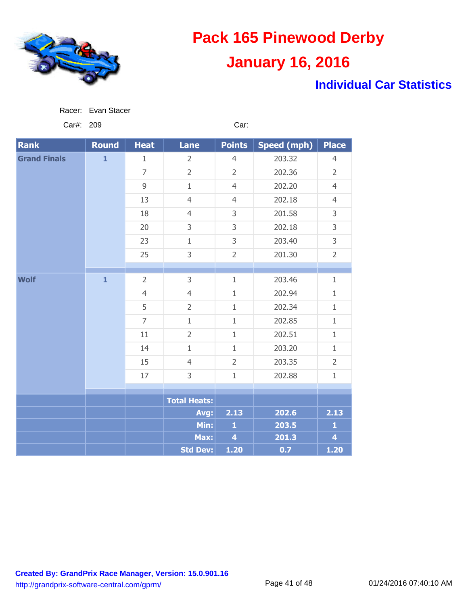

### **Individual Car Statistics**

| Racer: Evan Stacer |
|--------------------|

Car#: 209 Car:

| <b>Rank</b>         | <b>Round</b> | <b>Heat</b>    | <b>Lane</b>         | <b>Points</b>           | <b>Speed (mph)</b> | <b>Place</b>            |
|---------------------|--------------|----------------|---------------------|-------------------------|--------------------|-------------------------|
| <b>Grand Finals</b> | $\mathbf{1}$ | $\mathbf{1}$   | $\overline{2}$      | $\overline{4}$          | 203.32             | $\overline{4}$          |
|                     |              | $\overline{7}$ | $\overline{2}$      | $\overline{2}$          | 202.36             | $\overline{2}$          |
|                     |              | $\overline{9}$ | $\mathbf{1}$        | $\overline{4}$          | 202.20             | $\overline{4}$          |
|                     |              | 13             | $\overline{4}$      | $\overline{4}$          | 202.18             | $\overline{4}$          |
|                     |              | 18             | $\overline{4}$      | 3                       | 201.58             | 3                       |
|                     |              | 20             | 3                   | 3                       | 202.18             | 3                       |
|                     |              | 23             | $\mathbf{1}$        | 3                       | 203.40             | 3                       |
|                     |              | 25             | 3                   | $\overline{2}$          | 201.30             | $\overline{2}$          |
|                     |              |                |                     |                         |                    |                         |
| <b>Wolf</b>         | $\mathbf{1}$ | $\overline{2}$ | 3                   | $1\,$                   | 203.46             | $\mathbf{1}$            |
|                     |              | $\overline{4}$ | $\overline{4}$      | $1\,$                   | 202.94             | $\mathbf{1}$            |
|                     |              | 5              | $\overline{2}$      | $\mathbf{1}$            | 202.34             | $\mathbf{1}$            |
|                     |              | $\overline{7}$ | $\mathbf{1}$        | $1\,$                   | 202.85             | $\mathbf{1}$            |
|                     |              | 11             | $\overline{2}$      | $1\,$                   | 202.51             | $\mathbf{1}$            |
|                     |              | 14             | $1\,$               | $1\,$                   | 203.20             | $\mathbf{1}$            |
|                     |              | 15             | $\overline{4}$      | $\overline{2}$          | 203.35             | $\overline{2}$          |
|                     |              | 17             | 3                   | $\mathbf{1}$            | 202.88             | $\mathbf{1}$            |
|                     |              |                |                     |                         |                    |                         |
|                     |              |                | <b>Total Heats:</b> |                         |                    |                         |
|                     |              |                | Avg:                | 2.13                    | 202.6              | 2.13                    |
|                     |              |                | Min:                | $\mathbf{1}$            | 203.5              | $\mathbf{1}$            |
|                     |              |                | Max:                | $\overline{\mathbf{4}}$ | 201.3              | $\overline{\mathbf{4}}$ |
|                     |              |                | Std Dev:            | 1.20                    | 0.7                | $1.20$                  |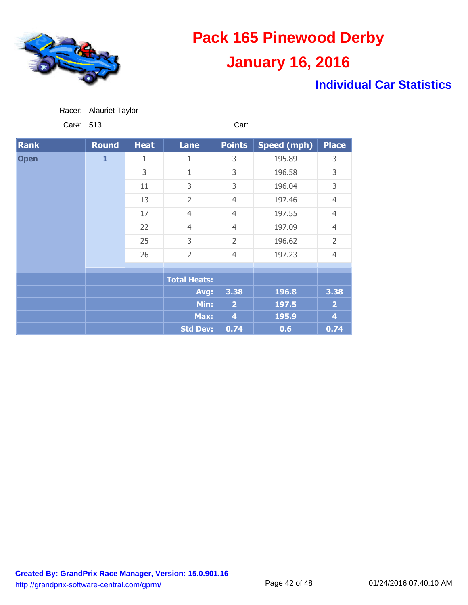

### **Individual Car Statistics**

| Racer: | <b>Alauriet Taylor</b> |
|--------|------------------------|
|        |                        |

Car#: 513 Car:

| <b>Rank</b> | <b>Round</b> | <b>Heat</b> | <b>Lane</b>         | <b>Points</b>  | Speed (mph) | <b>Place</b>   |
|-------------|--------------|-------------|---------------------|----------------|-------------|----------------|
| <b>Open</b> | $\mathbf{1}$ | 1           | 1                   | 3              | 195.89      | 3              |
|             |              | 3           | $\mathbf 1$         | 3              | 196.58      | 3              |
|             |              | 11          | 3                   | 3              | 196.04      | 3              |
|             |              | 13          | $\overline{2}$      | $\overline{4}$ | 197.46      | $\overline{4}$ |
|             |              | 17          | $\overline{4}$      | $\overline{4}$ | 197.55      | $\overline{4}$ |
|             |              | 22          | $\overline{4}$      | $\overline{4}$ | 197.09      | $\overline{4}$ |
|             |              | 25          | 3                   | $\overline{2}$ | 196.62      | $\overline{2}$ |
|             |              | 26          | $\overline{2}$      | $\overline{4}$ | 197.23      | $\overline{4}$ |
|             |              |             |                     |                |             |                |
|             |              |             | <b>Total Heats:</b> |                |             |                |
|             |              |             | Avg:                | 3.38           | 196.8       | 3.38           |
|             |              |             | Min:                | $\overline{2}$ | 197.5       | $\overline{2}$ |
|             |              |             |                     | Max:           | 4           | 195.9          |
|             |              |             | <b>Std Dev:</b>     | 0.74           | 0.6         | 0.74           |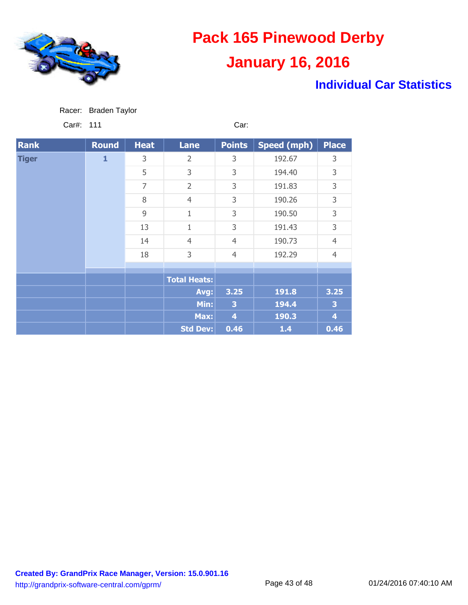

### **Individual Car Statistics**

Car#: 111 Car:

| <b>Rank</b>  | <b>Round</b> | <b>Heat</b> | <b>Lane</b>         | <b>Points</b>  | Speed (mph) | <b>Place</b>            |
|--------------|--------------|-------------|---------------------|----------------|-------------|-------------------------|
| <b>Tiger</b> | $\mathbf{1}$ | 3           | $\overline{2}$      | 3              | 192.67      | 3                       |
|              |              | 5           | 3                   | 3              | 194.40      | 3                       |
|              |              | 7           | $\overline{2}$      | 3              | 191.83      | 3                       |
|              |              | 8           | $\overline{4}$      | 3              | 190.26      | 3                       |
|              |              | 9           | 1                   | 3              | 190.50      | 3                       |
|              |              | 13          | 1                   | 3              | 191.43      | 3                       |
|              |              | 14          | $\overline{4}$      | $\overline{4}$ | 190.73      | $\overline{4}$          |
|              |              | 18          | 3                   | $\overline{4}$ | 192.29      | $\overline{4}$          |
|              |              |             |                     |                |             |                         |
|              |              |             | <b>Total Heats:</b> |                |             |                         |
|              |              |             | Avg:                | 3.25           | 191.8       | 3.25                    |
|              |              |             | Min:                | 3              | 194.4       | 3                       |
|              |              |             | Max:                | 4              | 190.3       | $\overline{\mathbf{4}}$ |
|              |              |             | <b>Std Dev:</b>     | 0.46           | $1.4$       | 0.46                    |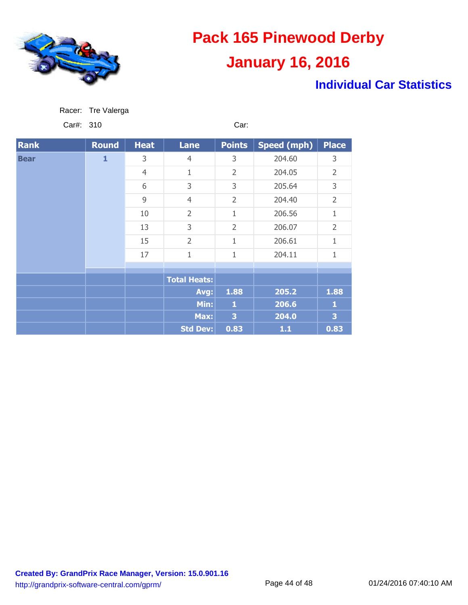

### **Individual Car Statistics**

| Racer: | Tre Valerga |  |
|--------|-------------|--|
|        |             |  |

Car#: 310 Car:

| <b>Rank</b> | <b>Round</b> | <b>Heat</b>    | <b>Lane</b>         | <b>Points</b>  | <b>Speed (mph)</b> | <b>Place</b>   |
|-------------|--------------|----------------|---------------------|----------------|--------------------|----------------|
| <b>Bear</b> | $\mathbf{1}$ | 3              | $\overline{4}$      | 3              | 204.60             | 3              |
|             |              | $\overline{4}$ | 1                   | $\overline{2}$ | 204.05             | $\overline{2}$ |
|             |              | 6              | 3                   | 3              | 205.64             | 3              |
|             |              | 9              | $\overline{4}$      | $\overline{2}$ | 204.40             | $\overline{2}$ |
|             |              | 10             | $\overline{2}$      | $\mathbf 1$    | 206.56             | 1              |
|             |              | 13             | 3                   | $\overline{2}$ | 206.07             | $\overline{2}$ |
|             |              | 15             | $\overline{2}$      | 1              | 206.61             | 1              |
|             |              | 17             | $\mathbf 1$         | 1              | 204.11             | 1              |
|             |              |                |                     |                |                    |                |
|             |              |                | <b>Total Heats:</b> |                |                    |                |
|             |              |                | Avg:                | 1.88           | 205.2              | 1.88           |
|             |              |                | Min:                | $\mathbf{1}$   | 206.6              | 1              |
|             |              |                | Max:                | 3              | 204.0              | 3              |
|             |              |                | <b>Std Dev:</b>     | 0.83           | 1.1                | 0.83           |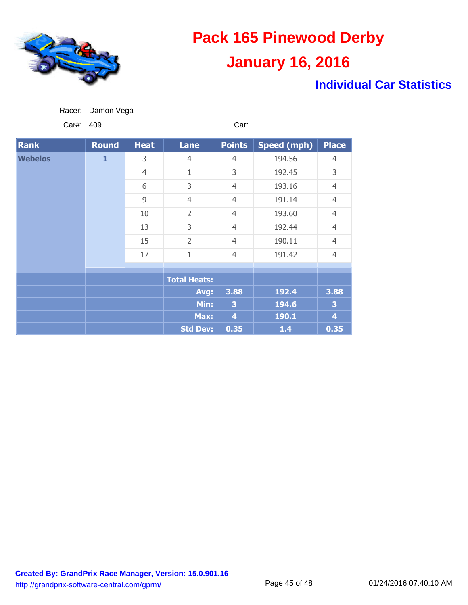

### **Individual Car Statistics**

Car#: 409 Car:

| <b>Rank</b>    | <b>Round</b> | <b>Heat</b>    | <b>Lane</b>         | <b>Points</b>  | Speed (mph) | <b>Place</b>       |
|----------------|--------------|----------------|---------------------|----------------|-------------|--------------------|
| <b>Webelos</b> | 1            | 3              | $\overline{4}$      | $\overline{4}$ | 194.56      | $\overline{4}$     |
|                |              | $\overline{4}$ | $\mathbf{1}$        | 3              | 192.45      | 3                  |
|                |              | 6              | 3                   | $\overline{4}$ | 193.16      | $\overline{4}$     |
|                |              | 9              | $\overline{4}$      | $\overline{4}$ | 191.14      | $\overline{4}$     |
|                |              | 10             | $\overline{2}$      | $\overline{4}$ | 193.60      | $\overline{4}$     |
|                |              | 13             | 3                   | $\overline{4}$ | 192.44      | $\overline{4}$     |
|                |              | 15             | $\overline{2}$      | $\overline{4}$ | 190.11      | $\overline{4}$     |
|                |              | 17             | $\mathbf 1$         | $\overline{4}$ | 191.42      | $\overline{4}$     |
|                |              |                |                     |                |             |                    |
|                |              |                | <b>Total Heats:</b> |                |             |                    |
|                |              |                | Avg:                | 3.88           | 192.4       | 3.88               |
|                |              |                | Min:                | 3              | 194.6       | 3                  |
|                |              |                | Max:                | 4              | 190.1       | $\overline{\bf 4}$ |
|                |              |                | <b>Std Dev:</b>     | 0.35           | $1.4$       | 0.35               |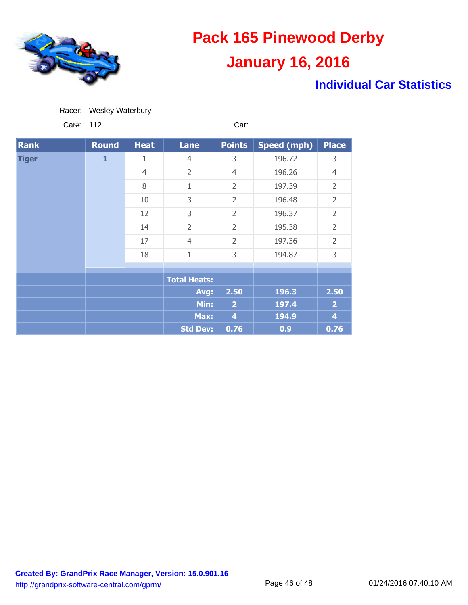

### **Individual Car Statistics**

Car#: 112 Car:

| <b>Rank</b>  | Round        | <b>Heat</b>    | <b>Lane</b>         | <b>Points</b>  | <b>Speed (mph)</b> | <b>Place</b>   |
|--------------|--------------|----------------|---------------------|----------------|--------------------|----------------|
| <b>Tiger</b> | $\mathbf{1}$ | 1              | $\overline{4}$      | 3              | 196.72             | 3              |
|              |              | $\overline{4}$ | $\overline{2}$      | $\overline{4}$ | 196.26             | $\overline{4}$ |
|              |              | 8              | 1                   | $\overline{2}$ | 197.39             | $\overline{2}$ |
|              |              | 10             | 3                   | $\overline{2}$ | 196.48             | $\overline{2}$ |
|              |              | 12             | 3                   | $\overline{2}$ | 196.37             | $\overline{2}$ |
|              |              | 14             | $\overline{2}$      | $\overline{2}$ | 195.38             | $\overline{2}$ |
|              |              | 17             | $\overline{4}$      | $\overline{2}$ | 197.36             | $\overline{2}$ |
|              |              | 18             | $\overline{1}$      | 3              | 194.87             | 3              |
|              |              |                |                     |                |                    |                |
|              |              |                | <b>Total Heats:</b> |                |                    |                |
|              |              |                | Avg:                | 2.50           | 196.3              | 2.50           |
|              |              |                | Min:                | $\overline{2}$ | 197.4              | $\overline{2}$ |
|              |              |                | Max:                | $\overline{4}$ | 194.9              | 4              |
|              |              |                | <b>Std Dev:</b>     | 0.76           | 0.9                | 0.76           |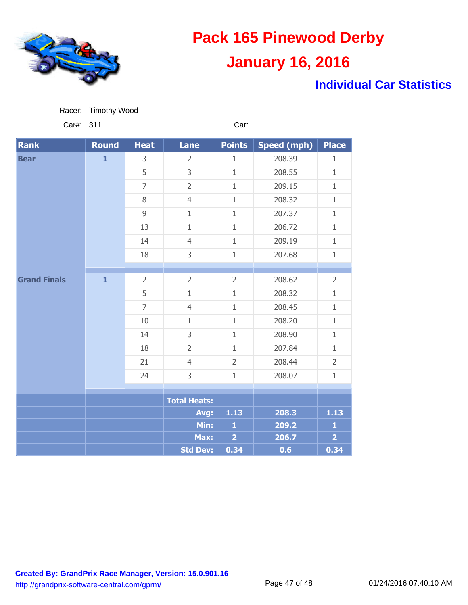

Racer: Timothy Wood

# **Pack 165 Pinewood Derby January 16, 2016**

### **Individual Car Statistics**

| Car#:<br>311        |              |                | Car:                |                |                    |                |
|---------------------|--------------|----------------|---------------------|----------------|--------------------|----------------|
| <b>Rank</b>         | <b>Round</b> | <b>Heat</b>    | Lane                | <b>Points</b>  | <b>Speed (mph)</b> | <b>Place</b>   |
| <b>Bear</b>         | $\mathbf{1}$ | 3              | $\overline{2}$      | $1\,$          | 208.39             | $\mathbf{1}$   |
|                     |              | 5              | 3                   | $1\,$          | 208.55             | $\mathbf{1}$   |
|                     |              | $\overline{7}$ | $\overline{2}$      | $\mathbf{1}$   | 209.15             | $\mathbf{1}$   |
|                     |              | 8              | $\overline{4}$      | $\mathbf{1}$   | 208.32             | $\mathbf{1}$   |
|                     |              | 9              | $\mathbf{1}$        | $\mathbf{1}$   | 207.37             | $\mathbf{1}$   |
|                     |              | 13             | $\mathbf 1$         | $1\,$          | 206.72             | $\mathbf{1}$   |
|                     |              | 14             | $\overline{4}$      | $\mathbf{1}$   | 209.19             | $\mathbf{1}$   |
|                     |              | 18             | 3                   | $1\,$          | 207.68             | $\mathbf{1}$   |
|                     |              |                |                     |                |                    |                |
| <b>Grand Finals</b> | $\mathbf{1}$ | $\overline{2}$ | $\overline{2}$      | $\overline{2}$ | 208.62             | $\overline{2}$ |
|                     |              | 5              | $1\,$               | $\mathbf{1}$   | 208.32             | $\mathbf{1}$   |
|                     |              | $\overline{7}$ | $\overline{4}$      | $\mathbf{1}$   | 208.45             | $\mathbf{1}$   |
|                     |              | 10             | $\mathbf{1}$        | $\mathbf{1}$   | 208.20             | $\mathbf{1}$   |
|                     |              | 14             | 3                   | $1\,$          | 208.90             | $\mathbf{1}$   |
|                     |              | 18             | $\overline{2}$      | $1\,$          | 207.84             | $\mathbf{1}$   |
|                     |              | 21             | $\overline{4}$      | $\overline{2}$ | 208.44             | $\overline{2}$ |
|                     |              | 24             | 3                   | $\mathbf{1}$   | 208.07             | $1\,$          |
|                     |              |                |                     |                |                    |                |
|                     |              |                | <b>Total Heats:</b> |                |                    |                |
|                     |              |                | Avg:                | 1.13           | 208.3              | $1.13$         |
|                     |              |                | Min:                | $\mathbf{1}$   | 209.2              | $\mathbf{1}$   |
|                     |              |                | Max:                | $\overline{2}$ | 206.7              | $\overline{2}$ |
|                     |              |                | <b>Std Dev:</b>     | 0.34           | 0.6                | 0.34           |